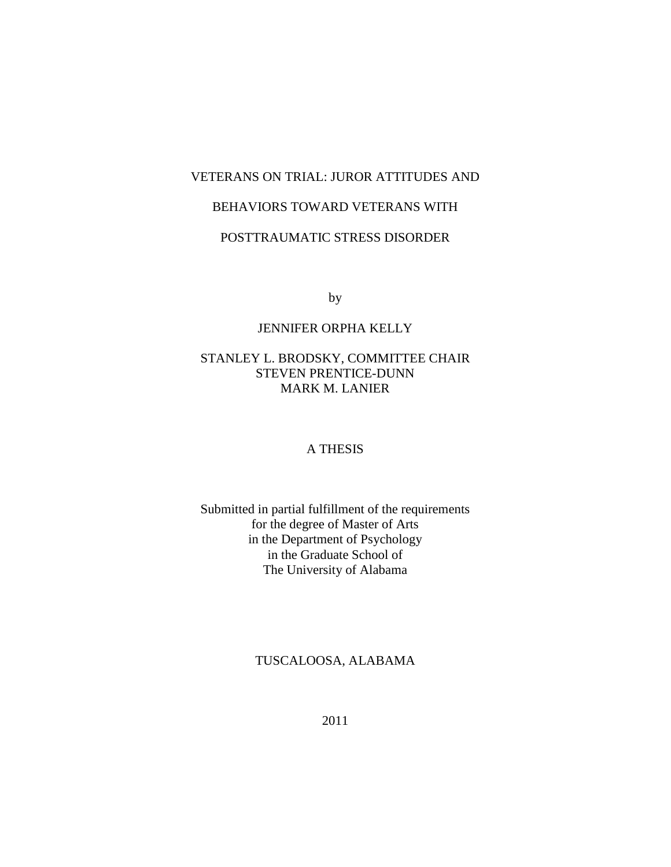## VETERANS ON TRIAL: JUROR ATTITUDES AND

## BEHAVIORS TOWARD VETERANS WITH

## POSTTRAUMATIC STRESS DISORDER

by

### JENNIFER ORPHA KELLY

### STANLEY L. BRODSKY, COMMITTEE CHAIR STEVEN PRENTICE-DUNN MARK M. LANIER

### A THESIS

## Submitted in partial fulfillment of the requirements for the degree of Master of Arts in the Department of Psychology in the Graduate School of The University of Alabama

### TUSCALOOSA, ALABAMA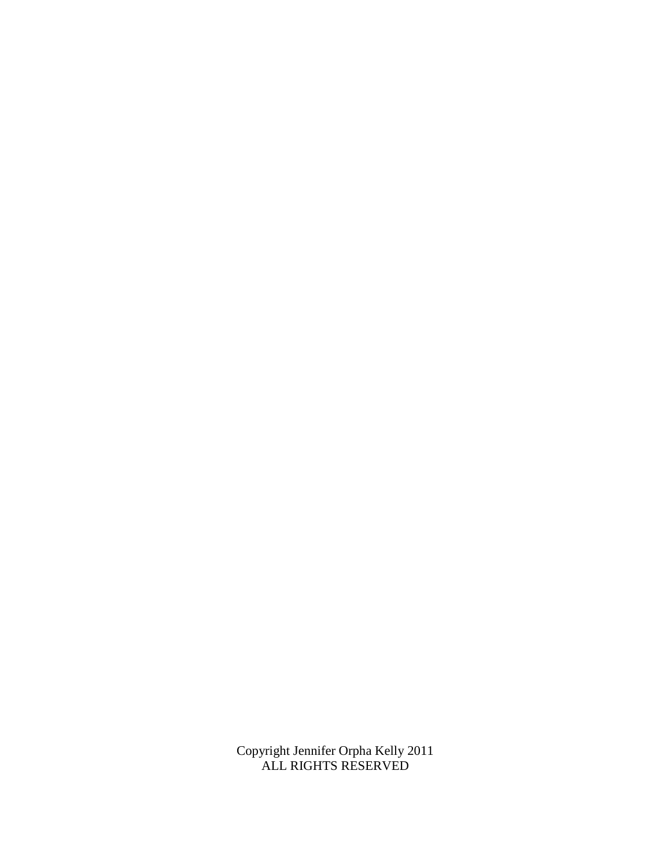Copyright Jennifer Orpha Kelly 2011 ALL RIGHTS RESERVED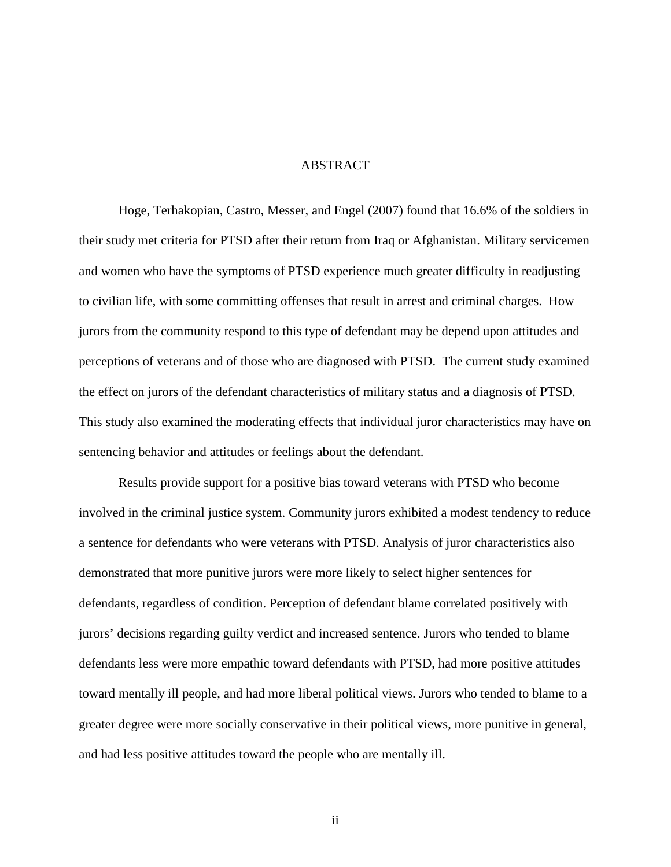### ABSTRACT

Hoge, Terhakopian, Castro, Messer, and Engel (2007) found that 16.6% of the soldiers in their study met criteria for PTSD after their return from Iraq or Afghanistan. Military servicemen and women who have the symptoms of PTSD experience much greater difficulty in readjusting to civilian life, with some committing offenses that result in arrest and criminal charges. How jurors from the community respond to this type of defendant may be depend upon attitudes and perceptions of veterans and of those who are diagnosed with PTSD. The current study examined the effect on jurors of the defendant characteristics of military status and a diagnosis of PTSD. This study also examined the moderating effects that individual juror characteristics may have on sentencing behavior and attitudes or feelings about the defendant.

Results provide support for a positive bias toward veterans with PTSD who become involved in the criminal justice system. Community jurors exhibited a modest tendency to reduce a sentence for defendants who were veterans with PTSD. Analysis of juror characteristics also demonstrated that more punitive jurors were more likely to select higher sentences for defendants, regardless of condition. Perception of defendant blame correlated positively with jurors' decisions regarding guilty verdict and increased sentence. Jurors who tended to blame defendants less were more empathic toward defendants with PTSD, had more positive attitudes toward mentally ill people, and had more liberal political views. Jurors who tended to blame to a greater degree were more socially conservative in their political views, more punitive in general, and had less positive attitudes toward the people who are mentally ill.

ii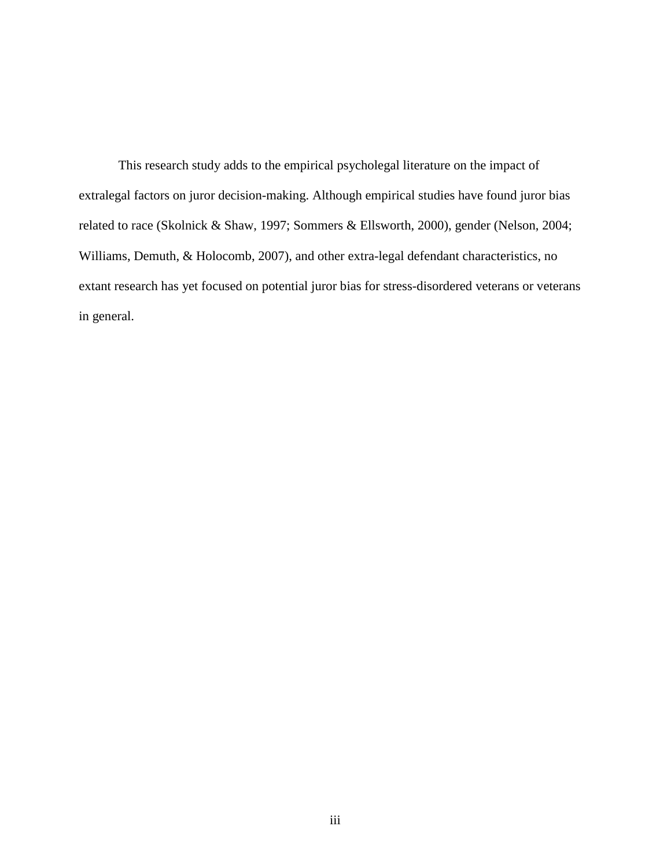This research study adds to the empirical psycholegal literature on the impact of extralegal factors on juror decision-making. Although empirical studies have found juror bias related to race (Skolnick & Shaw, 1997; Sommers & Ellsworth, 2000), gender (Nelson, 2004; Williams, Demuth, & Holocomb, 2007), and other extra-legal defendant characteristics, no extant research has yet focused on potential juror bias for stress-disordered veterans or veterans in general.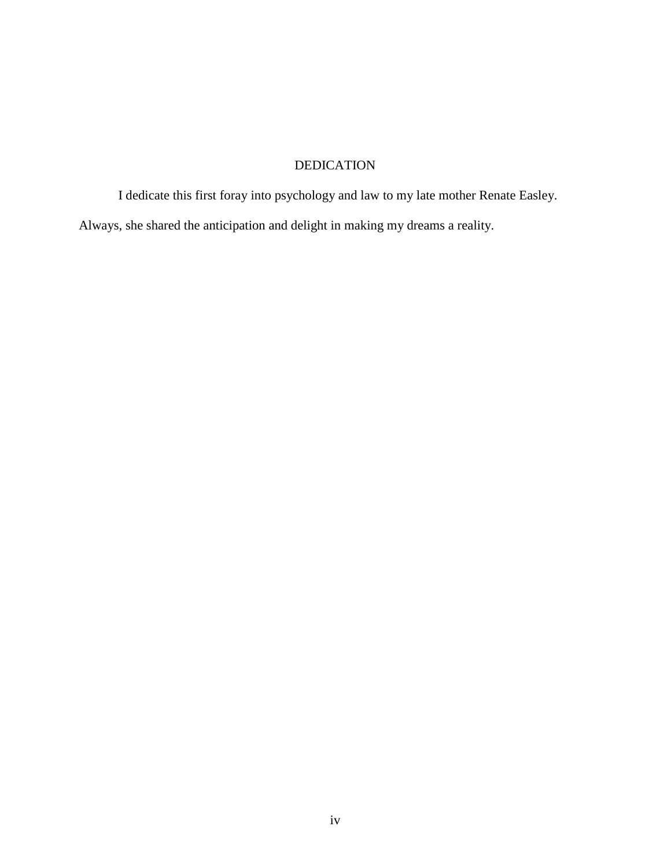## DEDICATION

I dedicate this first foray into psychology and law to my late mother Renate Easley. Always, she shared the anticipation and delight in making my dreams a reality.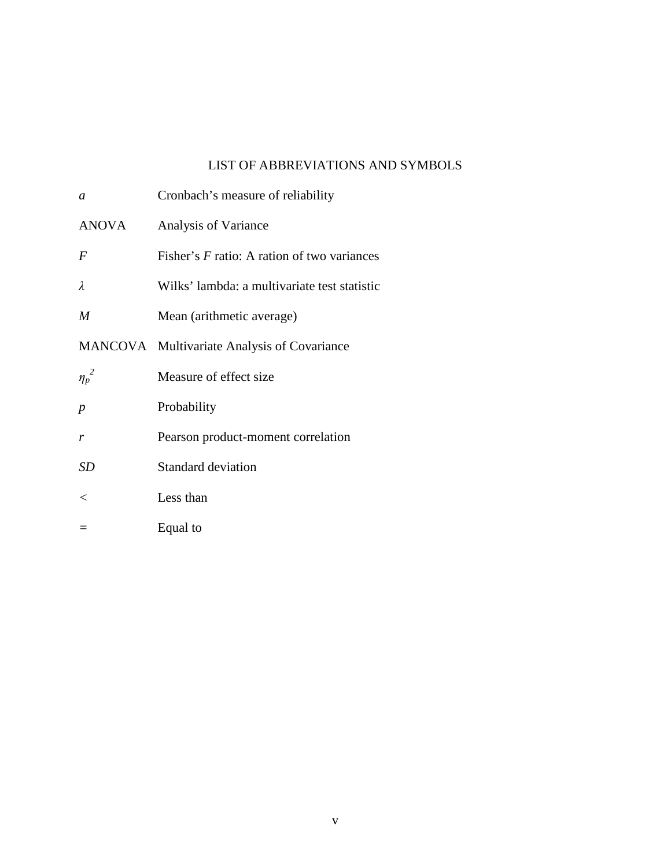## LIST OF ABBREVIATIONS AND SYMBOLS

| a                | Cronbach's measure of reliability             |
|------------------|-----------------------------------------------|
| <b>ANOVA</b>     | Analysis of Variance                          |
| $\bm{F}$         | Fisher's $F$ ratio: A ration of two variances |
| λ                | Wilks' lambda: a multivariate test statistic  |
| M                | Mean (arithmetic average)                     |
|                  | MANCOVA Multivariate Analysis of Covariance   |
| ${\eta_p}^2$     | Measure of effect size                        |
| $\boldsymbol{p}$ | Probability                                   |
| r                | Pearson product-moment correlation            |
| <b>SD</b>        | <b>Standard deviation</b>                     |
| $\,<\,$          | Less than                                     |
|                  | Equal to                                      |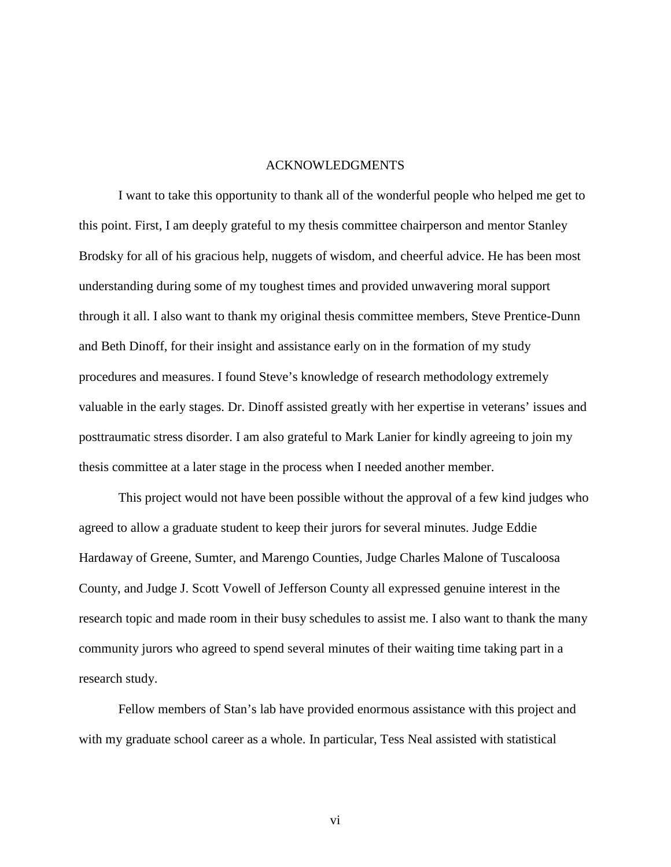#### ACKNOWLEDGMENTS

I want to take this opportunity to thank all of the wonderful people who helped me get to this point. First, I am deeply grateful to my thesis committee chairperson and mentor Stanley Brodsky for all of his gracious help, nuggets of wisdom, and cheerful advice. He has been most understanding during some of my toughest times and provided unwavering moral support through it all. I also want to thank my original thesis committee members, Steve Prentice-Dunn and Beth Dinoff, for their insight and assistance early on in the formation of my study procedures and measures. I found Steve's knowledge of research methodology extremely valuable in the early stages. Dr. Dinoff assisted greatly with her expertise in veterans' issues and posttraumatic stress disorder. I am also grateful to Mark Lanier for kindly agreeing to join my thesis committee at a later stage in the process when I needed another member.

This project would not have been possible without the approval of a few kind judges who agreed to allow a graduate student to keep their jurors for several minutes. Judge Eddie Hardaway of Greene, Sumter, and Marengo Counties, Judge Charles Malone of Tuscaloosa County, and Judge J. Scott Vowell of Jefferson County all expressed genuine interest in the research topic and made room in their busy schedules to assist me. I also want to thank the many community jurors who agreed to spend several minutes of their waiting time taking part in a research study.

Fellow members of Stan's lab have provided enormous assistance with this project and with my graduate school career as a whole. In particular, Tess Neal assisted with statistical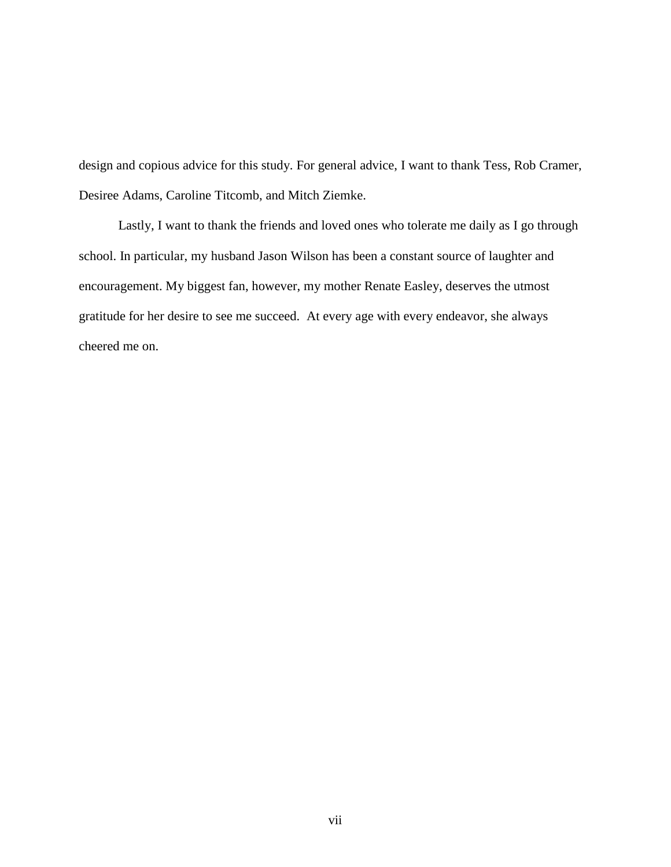design and copious advice for this study. For general advice, I want to thank Tess, Rob Cramer, Desiree Adams, Caroline Titcomb, and Mitch Ziemke.

Lastly, I want to thank the friends and loved ones who tolerate me daily as I go through school. In particular, my husband Jason Wilson has been a constant source of laughter and encouragement. My biggest fan, however, my mother Renate Easley, deserves the utmost gratitude for her desire to see me succeed. At every age with every endeavor, she always cheered me on.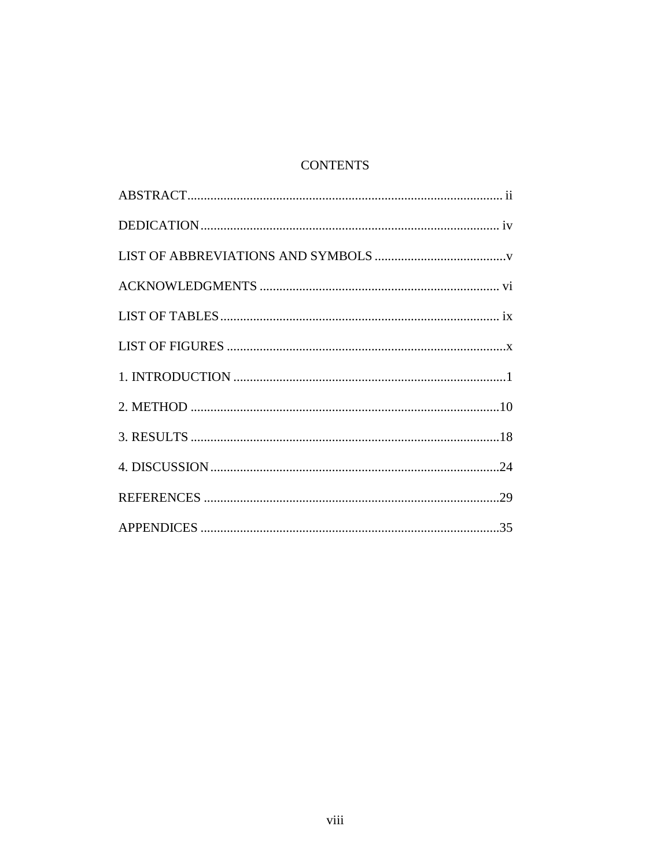## **CONTENTS**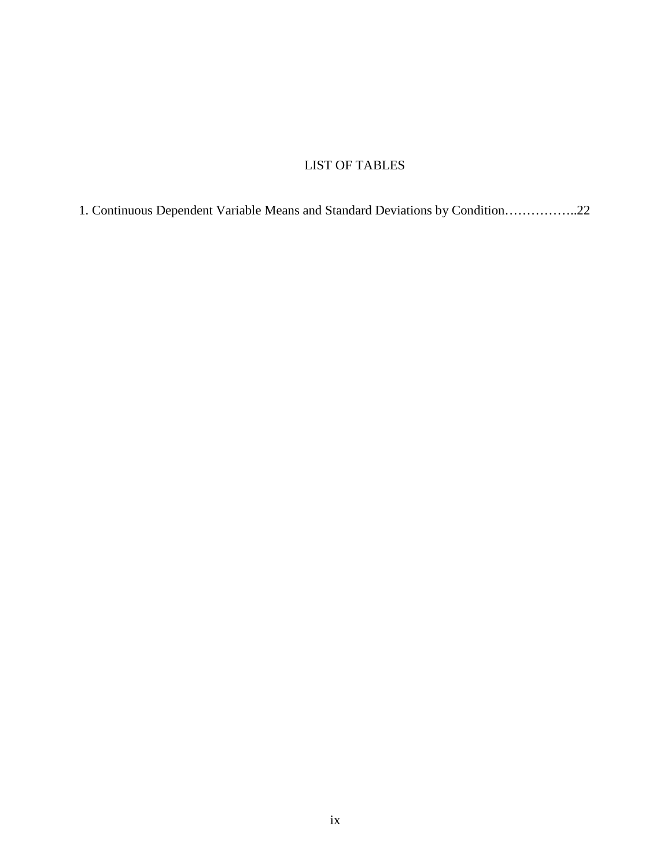## LIST OF TABLES

1. Continuous Dependent Variable Means and Standard Deviations by Condition……………..22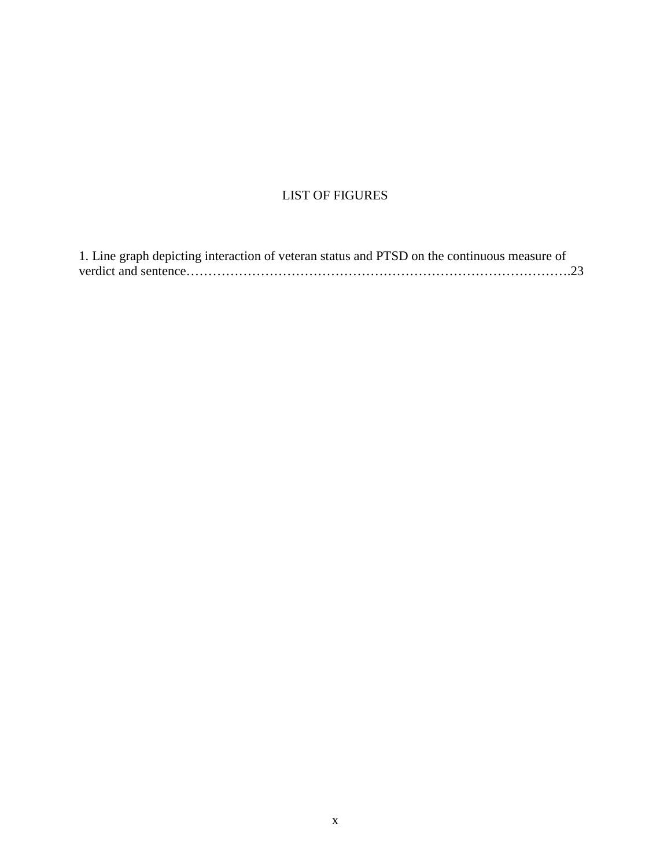## LIST OF FIGURES

| 1. Line graph depicting interaction of veteran status and PTSD on the continuous measure of |  |
|---------------------------------------------------------------------------------------------|--|
|                                                                                             |  |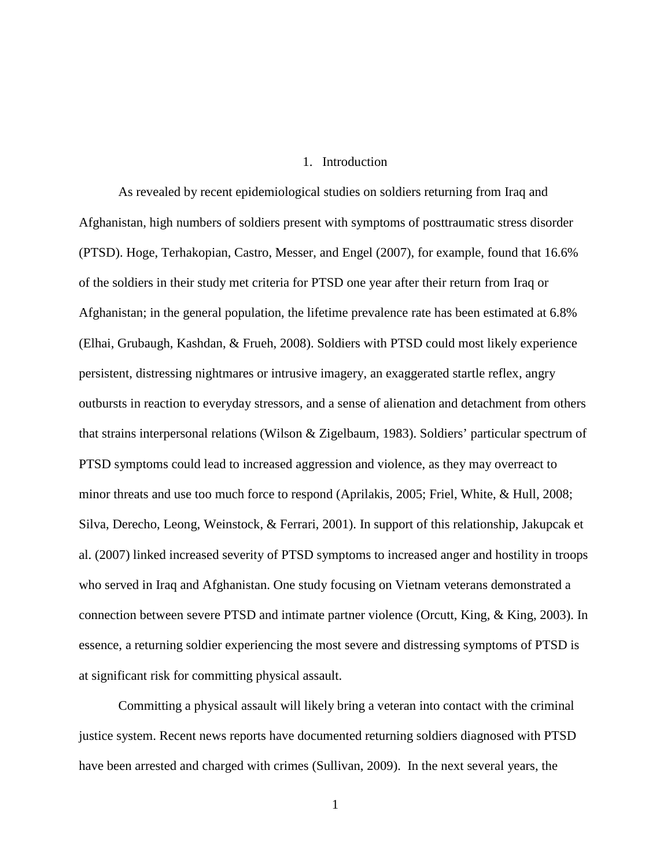#### 1. Introduction

As revealed by recent epidemiological studies on soldiers returning from Iraq and Afghanistan, high numbers of soldiers present with symptoms of posttraumatic stress disorder (PTSD). Hoge, Terhakopian, Castro, Messer, and Engel (2007), for example, found that 16.6% of the soldiers in their study met criteria for PTSD one year after their return from Iraq or Afghanistan; in the general population, the lifetime prevalence rate has been estimated at 6.8% (Elhai, Grubaugh, Kashdan, & Frueh, 2008). Soldiers with PTSD could most likely experience persistent, distressing nightmares or intrusive imagery, an exaggerated startle reflex, angry outbursts in reaction to everyday stressors, and a sense of alienation and detachment from others that strains interpersonal relations (Wilson & Zigelbaum, 1983). Soldiers' particular spectrum of PTSD symptoms could lead to increased aggression and violence, as they may overreact to minor threats and use too much force to respond (Aprilakis, 2005; Friel, White, & Hull, 2008; Silva, Derecho, Leong, Weinstock, & Ferrari, 2001). In support of this relationship, Jakupcak et al. (2007) linked increased severity of PTSD symptoms to increased anger and hostility in troops who served in Iraq and Afghanistan. One study focusing on Vietnam veterans demonstrated a connection between severe PTSD and intimate partner violence (Orcutt, King, & King, 2003). In essence, a returning soldier experiencing the most severe and distressing symptoms of PTSD is at significant risk for committing physical assault.

Committing a physical assault will likely bring a veteran into contact with the criminal justice system. Recent news reports have documented returning soldiers diagnosed with PTSD have been arrested and charged with crimes (Sullivan, 2009). In the next several years, the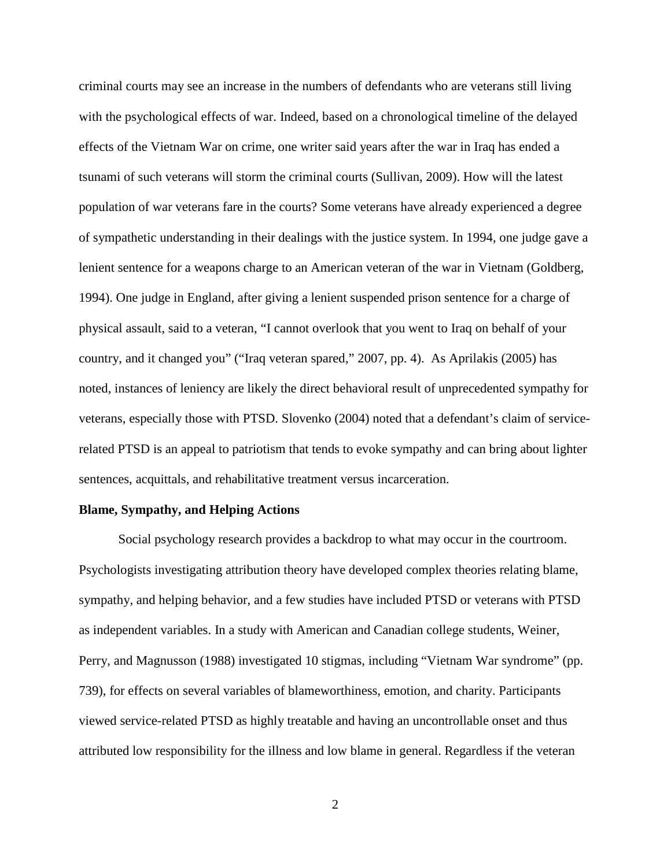criminal courts may see an increase in the numbers of defendants who are veterans still living with the psychological effects of war. Indeed, based on a chronological timeline of the delayed effects of the Vietnam War on crime, one writer said years after the war in Iraq has ended a tsunami of such veterans will storm the criminal courts (Sullivan, 2009). How will the latest population of war veterans fare in the courts? Some veterans have already experienced a degree of sympathetic understanding in their dealings with the justice system. In 1994, one judge gave a lenient sentence for a weapons charge to an American veteran of the war in Vietnam (Goldberg, 1994). One judge in England, after giving a lenient suspended prison sentence for a charge of physical assault, said to a veteran, "I cannot overlook that you went to Iraq on behalf of your country, and it changed you" ("Iraq veteran spared," 2007, pp. 4). As Aprilakis (2005) has noted, instances of leniency are likely the direct behavioral result of unprecedented sympathy for veterans, especially those with PTSD. Slovenko (2004) noted that a defendant's claim of servicerelated PTSD is an appeal to patriotism that tends to evoke sympathy and can bring about lighter sentences, acquittals, and rehabilitative treatment versus incarceration.

#### **Blame, Sympathy, and Helping Actions**

Social psychology research provides a backdrop to what may occur in the courtroom. Psychologists investigating attribution theory have developed complex theories relating blame, sympathy, and helping behavior, and a few studies have included PTSD or veterans with PTSD as independent variables. In a study with American and Canadian college students, Weiner, Perry, and Magnusson (1988) investigated 10 stigmas, including "Vietnam War syndrome" (pp. 739), for effects on several variables of blameworthiness, emotion, and charity. Participants viewed service-related PTSD as highly treatable and having an uncontrollable onset and thus attributed low responsibility for the illness and low blame in general. Regardless if the veteran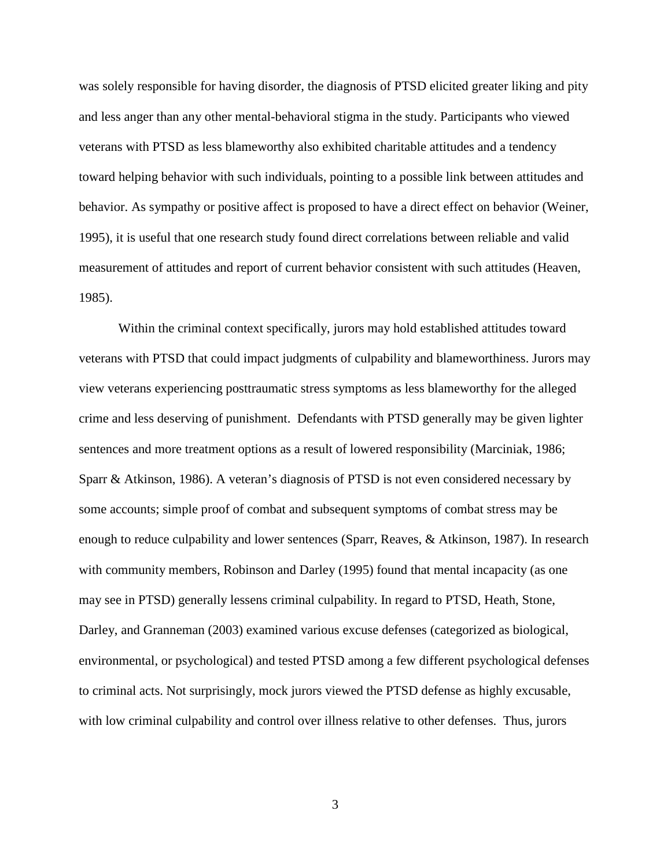was solely responsible for having disorder, the diagnosis of PTSD elicited greater liking and pity and less anger than any other mental-behavioral stigma in the study. Participants who viewed veterans with PTSD as less blameworthy also exhibited charitable attitudes and a tendency toward helping behavior with such individuals, pointing to a possible link between attitudes and behavior. As sympathy or positive affect is proposed to have a direct effect on behavior (Weiner, 1995), it is useful that one research study found direct correlations between reliable and valid measurement of attitudes and report of current behavior consistent with such attitudes (Heaven, 1985).

Within the criminal context specifically, jurors may hold established attitudes toward veterans with PTSD that could impact judgments of culpability and blameworthiness. Jurors may view veterans experiencing posttraumatic stress symptoms as less blameworthy for the alleged crime and less deserving of punishment. Defendants with PTSD generally may be given lighter sentences and more treatment options as a result of lowered responsibility (Marciniak, 1986; Sparr & Atkinson, 1986). A veteran's diagnosis of PTSD is not even considered necessary by some accounts; simple proof of combat and subsequent symptoms of combat stress may be enough to reduce culpability and lower sentences (Sparr, Reaves, & Atkinson, 1987). In research with community members, Robinson and Darley (1995) found that mental incapacity (as one may see in PTSD) generally lessens criminal culpability. In regard to PTSD, Heath, Stone, Darley, and Granneman (2003) examined various excuse defenses (categorized as biological, environmental, or psychological) and tested PTSD among a few different psychological defenses to criminal acts. Not surprisingly, mock jurors viewed the PTSD defense as highly excusable, with low criminal culpability and control over illness relative to other defenses. Thus, jurors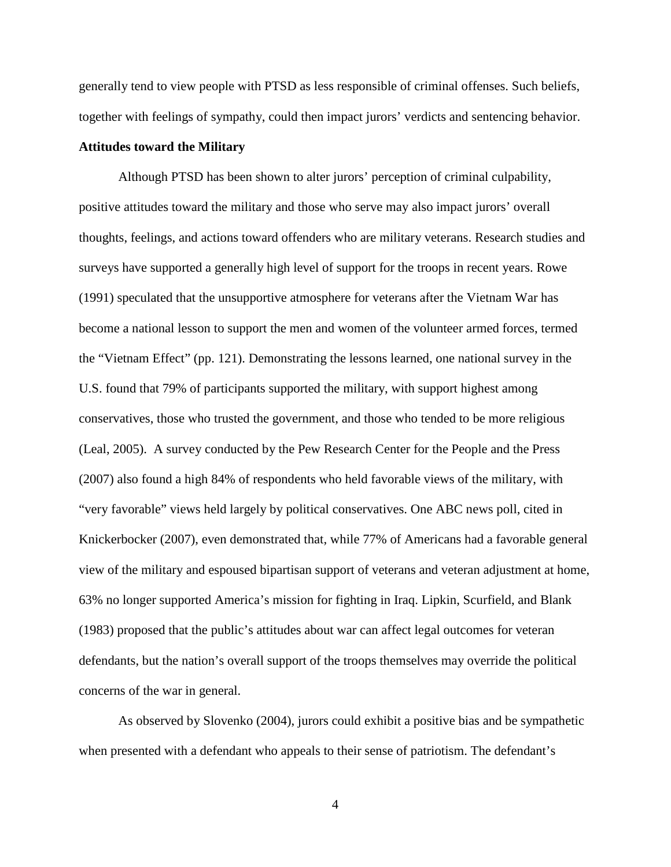generally tend to view people with PTSD as less responsible of criminal offenses. Such beliefs, together with feelings of sympathy, could then impact jurors' verdicts and sentencing behavior.

#### **Attitudes toward the Military**

Although PTSD has been shown to alter jurors' perception of criminal culpability, positive attitudes toward the military and those who serve may also impact jurors' overall thoughts, feelings, and actions toward offenders who are military veterans. Research studies and surveys have supported a generally high level of support for the troops in recent years. Rowe (1991) speculated that the unsupportive atmosphere for veterans after the Vietnam War has become a national lesson to support the men and women of the volunteer armed forces, termed the "Vietnam Effect" (pp. 121). Demonstrating the lessons learned, one national survey in the U.S. found that 79% of participants supported the military, with support highest among conservatives, those who trusted the government, and those who tended to be more religious (Leal, 2005). A survey conducted by the Pew Research Center for the People and the Press (2007) also found a high 84% of respondents who held favorable views of the military, with "very favorable" views held largely by political conservatives. One ABC news poll, cited in Knickerbocker (2007), even demonstrated that, while 77% of Americans had a favorable general view of the military and espoused bipartisan support of veterans and veteran adjustment at home, 63% no longer supported America's mission for fighting in Iraq. Lipkin, Scurfield, and Blank (1983) proposed that the public's attitudes about war can affect legal outcomes for veteran defendants, but the nation's overall support of the troops themselves may override the political concerns of the war in general.

As observed by Slovenko (2004), jurors could exhibit a positive bias and be sympathetic when presented with a defendant who appeals to their sense of patriotism. The defendant's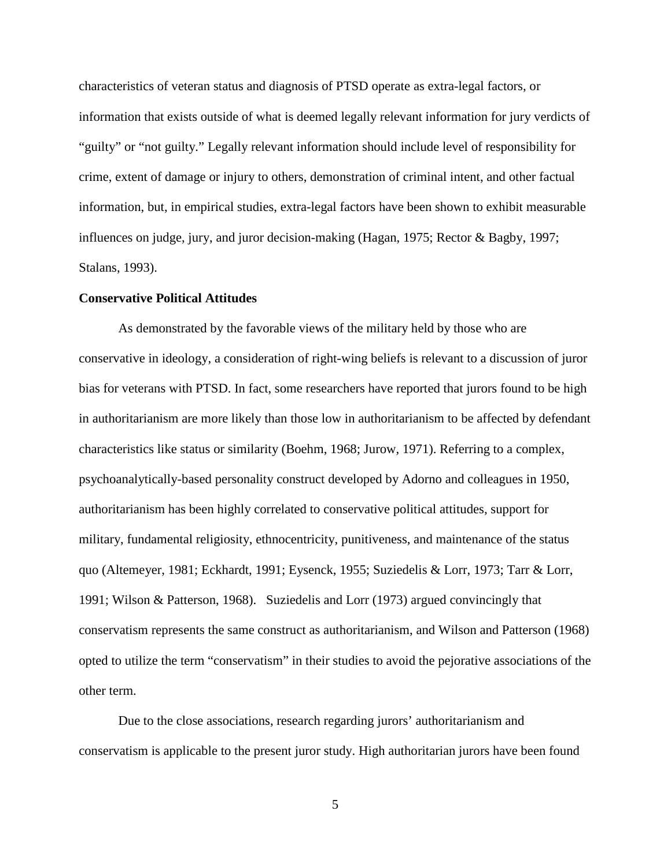characteristics of veteran status and diagnosis of PTSD operate as extra-legal factors, or information that exists outside of what is deemed legally relevant information for jury verdicts of "guilty" or "not guilty." Legally relevant information should include level of responsibility for crime, extent of damage or injury to others, demonstration of criminal intent, and other factual information, but, in empirical studies, extra-legal factors have been shown to exhibit measurable influences on judge, jury, and juror decision-making (Hagan, 1975; Rector & Bagby, 1997; Stalans, 1993).

#### **Conservative Political Attitudes**

 As demonstrated by the favorable views of the military held by those who are conservative in ideology, a consideration of right-wing beliefs is relevant to a discussion of juror bias for veterans with PTSD. In fact, some researchers have reported that jurors found to be high in authoritarianism are more likely than those low in authoritarianism to be affected by defendant characteristics like status or similarity (Boehm, 1968; Jurow, 1971). Referring to a complex, psychoanalytically-based personality construct developed by Adorno and colleagues in 1950, authoritarianism has been highly correlated to conservative political attitudes, support for military, fundamental religiosity, ethnocentricity, punitiveness, and maintenance of the status quo (Altemeyer, 1981; Eckhardt, 1991; Eysenck, 1955; Suziedelis & Lorr, 1973; Tarr & Lorr, 1991; Wilson & Patterson, 1968). Suziedelis and Lorr (1973) argued convincingly that conservatism represents the same construct as authoritarianism, and Wilson and Patterson (1968) opted to utilize the term "conservatism" in their studies to avoid the pejorative associations of the other term.

 Due to the close associations, research regarding jurors' authoritarianism and conservatism is applicable to the present juror study. High authoritarian jurors have been found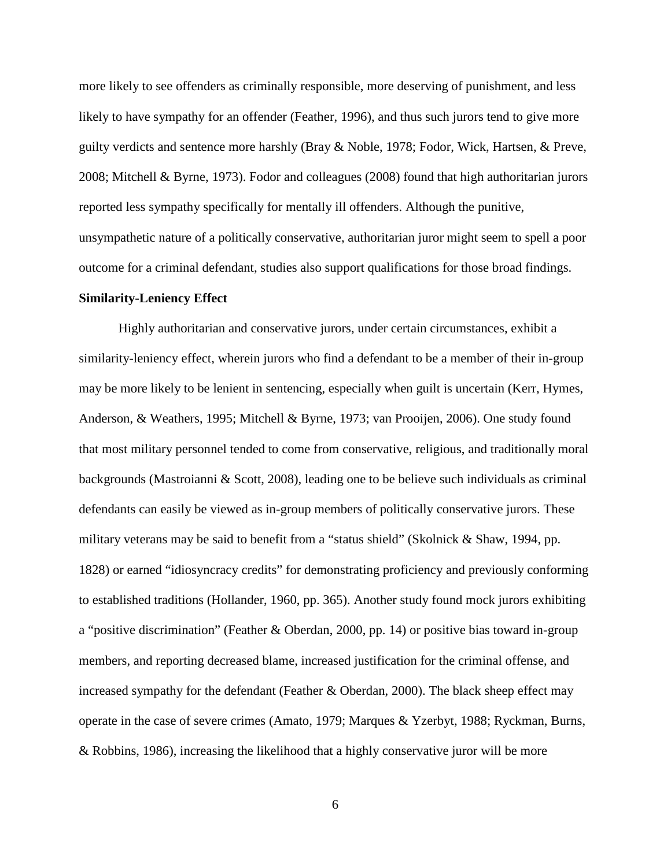more likely to see offenders as criminally responsible, more deserving of punishment, and less likely to have sympathy for an offender (Feather, 1996), and thus such jurors tend to give more guilty verdicts and sentence more harshly (Bray & Noble, 1978; Fodor, Wick, Hartsen, & Preve, 2008; Mitchell & Byrne, 1973). Fodor and colleagues (2008) found that high authoritarian jurors reported less sympathy specifically for mentally ill offenders. Although the punitive, unsympathetic nature of a politically conservative, authoritarian juror might seem to spell a poor outcome for a criminal defendant, studies also support qualifications for those broad findings.

#### **Similarity-Leniency Effect**

 Highly authoritarian and conservative jurors, under certain circumstances, exhibit a similarity-leniency effect, wherein jurors who find a defendant to be a member of their in-group may be more likely to be lenient in sentencing, especially when guilt is uncertain (Kerr, Hymes, Anderson, & Weathers, 1995; Mitchell & Byrne, 1973; van Prooijen, 2006). One study found that most military personnel tended to come from conservative, religious, and traditionally moral backgrounds (Mastroianni & Scott, 2008), leading one to be believe such individuals as criminal defendants can easily be viewed as in-group members of politically conservative jurors. These military veterans may be said to benefit from a "status shield" (Skolnick & Shaw, 1994, pp. 1828) or earned "idiosyncracy credits" for demonstrating proficiency and previously conforming to established traditions (Hollander, 1960, pp. 365). Another study found mock jurors exhibiting a "positive discrimination" (Feather & Oberdan, 2000, pp. 14) or positive bias toward in-group members, and reporting decreased blame, increased justification for the criminal offense, and increased sympathy for the defendant (Feather & Oberdan, 2000). The black sheep effect may operate in the case of severe crimes (Amato, 1979; Marques & Yzerbyt, 1988; Ryckman, Burns, & Robbins, 1986), increasing the likelihood that a highly conservative juror will be more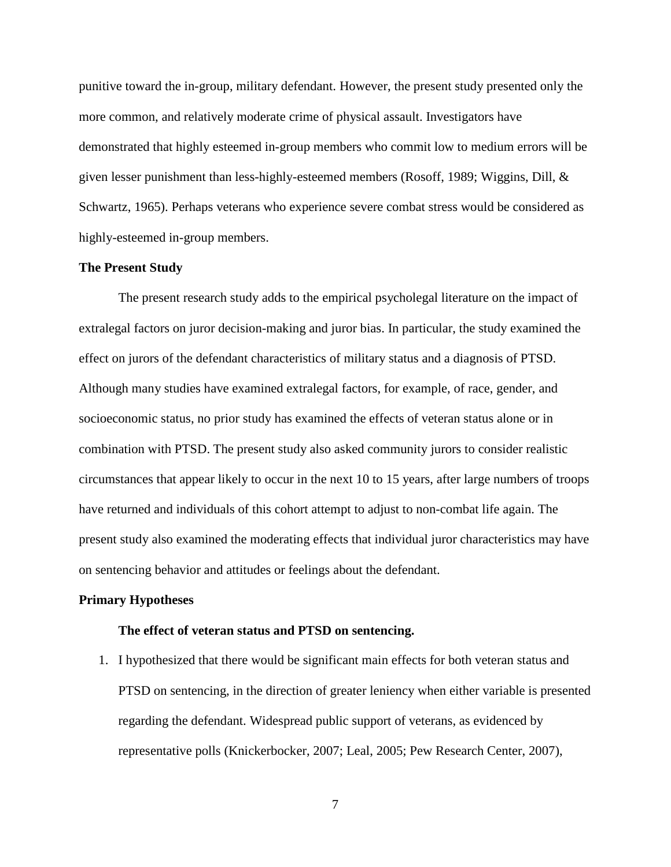punitive toward the in-group, military defendant. However, the present study presented only the more common, and relatively moderate crime of physical assault. Investigators have demonstrated that highly esteemed in-group members who commit low to medium errors will be given lesser punishment than less-highly-esteemed members (Rosoff, 1989; Wiggins, Dill, & Schwartz, 1965). Perhaps veterans who experience severe combat stress would be considered as highly-esteemed in-group members.

#### **The Present Study**

The present research study adds to the empirical psycholegal literature on the impact of extralegal factors on juror decision-making and juror bias. In particular, the study examined the effect on jurors of the defendant characteristics of military status and a diagnosis of PTSD. Although many studies have examined extralegal factors, for example, of race, gender, and socioeconomic status, no prior study has examined the effects of veteran status alone or in combination with PTSD. The present study also asked community jurors to consider realistic circumstances that appear likely to occur in the next 10 to 15 years, after large numbers of troops have returned and individuals of this cohort attempt to adjust to non-combat life again. The present study also examined the moderating effects that individual juror characteristics may have on sentencing behavior and attitudes or feelings about the defendant.

#### **Primary Hypotheses**

#### **The effect of veteran status and PTSD on sentencing.**

1. I hypothesized that there would be significant main effects for both veteran status and PTSD on sentencing, in the direction of greater leniency when either variable is presented regarding the defendant. Widespread public support of veterans, as evidenced by representative polls (Knickerbocker, 2007; Leal, 2005; Pew Research Center, 2007),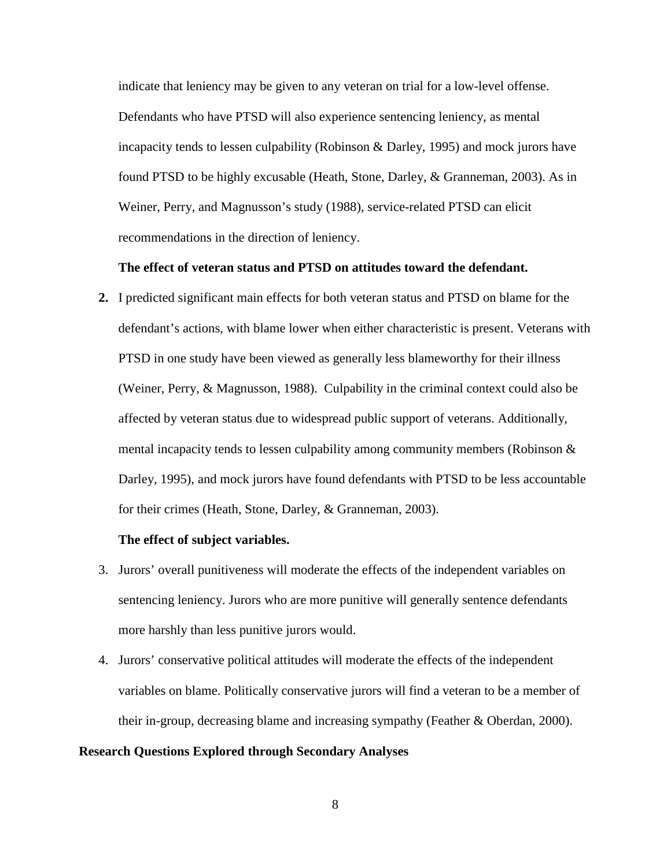indicate that leniency may be given to any veteran on trial for a low-level offense. Defendants who have PTSD will also experience sentencing leniency, as mental incapacity tends to lessen culpability (Robinson & Darley, 1995) and mock jurors have found PTSD to be highly excusable (Heath, Stone, Darley, & Granneman, 2003). As in Weiner, Perry, and Magnusson's study (1988), service-related PTSD can elicit recommendations in the direction of leniency.

### **The effect of veteran status and PTSD on attitudes toward the defendant.**

**2.** I predicted significant main effects for both veteran status and PTSD on blame for the defendant's actions, with blame lower when either characteristic is present. Veterans with PTSD in one study have been viewed as generally less blameworthy for their illness (Weiner, Perry, & Magnusson, 1988). Culpability in the criminal context could also be affected by veteran status due to widespread public support of veterans. Additionally, mental incapacity tends to lessen culpability among community members (Robinson & Darley, 1995), and mock jurors have found defendants with PTSD to be less accountable for their crimes (Heath, Stone, Darley, & Granneman, 2003).

#### **The effect of subject variables.**

- 3. Jurors' overall punitiveness will moderate the effects of the independent variables on sentencing leniency. Jurors who are more punitive will generally sentence defendants more harshly than less punitive jurors would.
- 4. Jurors' conservative political attitudes will moderate the effects of the independent variables on blame. Politically conservative jurors will find a veteran to be a member of their in-group, decreasing blame and increasing sympathy (Feather & Oberdan, 2000).

#### **Research Questions Explored through Secondary Analyses**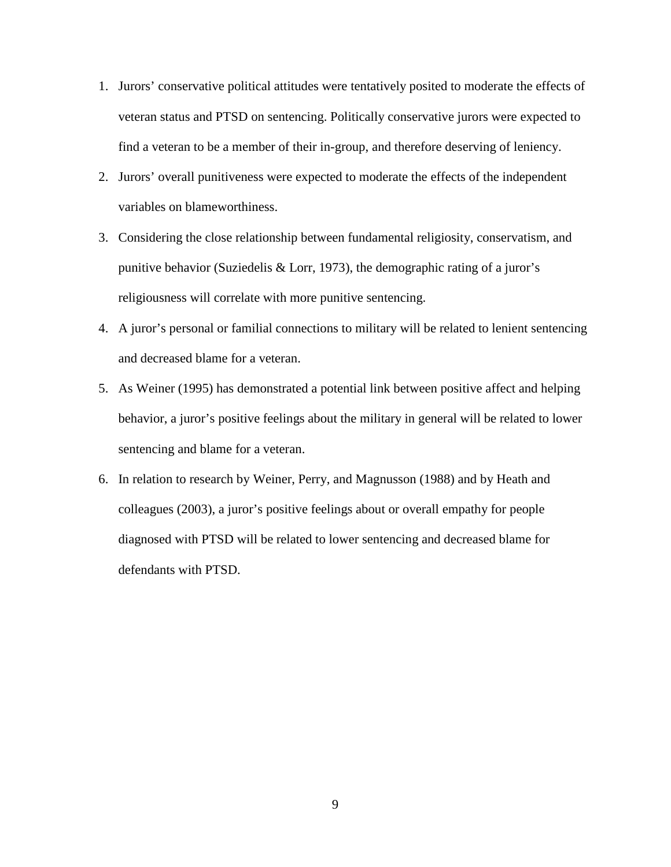- 1. Jurors' conservative political attitudes were tentatively posited to moderate the effects of veteran status and PTSD on sentencing. Politically conservative jurors were expected to find a veteran to be a member of their in-group, and therefore deserving of leniency.
- 2. Jurors' overall punitiveness were expected to moderate the effects of the independent variables on blameworthiness.
- 3. Considering the close relationship between fundamental religiosity, conservatism, and punitive behavior (Suziedelis & Lorr, 1973), the demographic rating of a juror's religiousness will correlate with more punitive sentencing.
- 4. A juror's personal or familial connections to military will be related to lenient sentencing and decreased blame for a veteran.
- 5. As Weiner (1995) has demonstrated a potential link between positive affect and helping behavior, a juror's positive feelings about the military in general will be related to lower sentencing and blame for a veteran.
- 6. In relation to research by Weiner, Perry, and Magnusson (1988) and by Heath and colleagues (2003), a juror's positive feelings about or overall empathy for people diagnosed with PTSD will be related to lower sentencing and decreased blame for defendants with PTSD.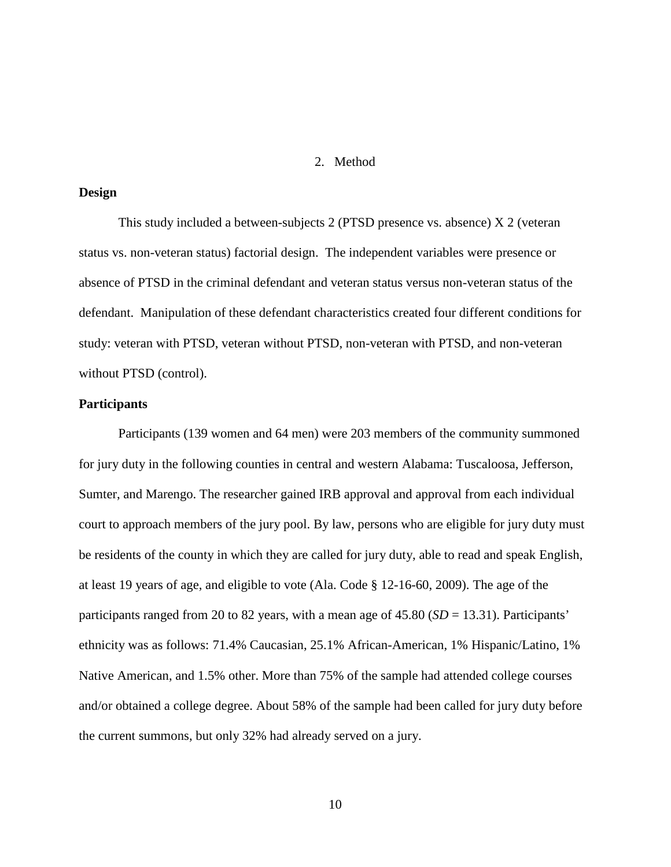#### 2. Method

### **Design**

 This study included a between-subjects 2 (PTSD presence vs. absence) X 2 (veteran status vs. non-veteran status) factorial design. The independent variables were presence or absence of PTSD in the criminal defendant and veteran status versus non-veteran status of the defendant. Manipulation of these defendant characteristics created four different conditions for study: veteran with PTSD, veteran without PTSD, non-veteran with PTSD, and non-veteran without PTSD (control).

### **Participants**

Participants (139 women and 64 men) were 203 members of the community summoned for jury duty in the following counties in central and western Alabama: Tuscaloosa, Jefferson, Sumter, and Marengo. The researcher gained IRB approval and approval from each individual court to approach members of the jury pool. By law, persons who are eligible for jury duty must be residents of the county in which they are called for jury duty, able to read and speak English, at least 19 years of age, and eligible to vote (Ala. Code § 12-16-60, 2009). The age of the participants ranged from 20 to 82 years, with a mean age of 45.80 (*SD* = 13.31). Participants' ethnicity was as follows: 71.4% Caucasian, 25.1% African-American, 1% Hispanic/Latino, 1% Native American, and 1.5% other. More than 75% of the sample had attended college courses and/or obtained a college degree. About 58% of the sample had been called for jury duty before the current summons, but only 32% had already served on a jury.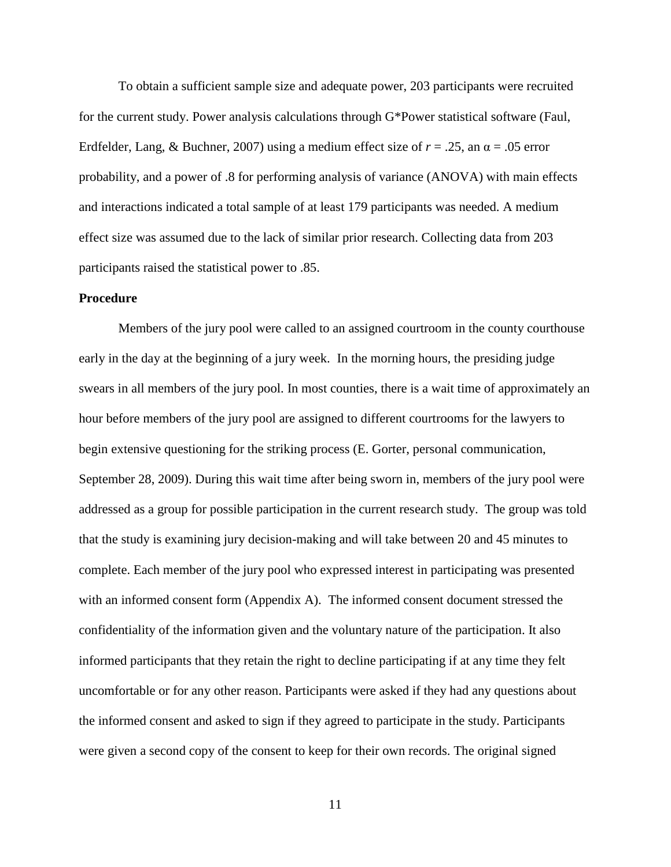To obtain a sufficient sample size and adequate power, 203 participants were recruited for the current study. Power analysis calculations through G\*Power statistical software (Faul, Erdfelder, Lang, & Buchner, 2007) using a medium effect size of  $r = .25$ , an  $\alpha = .05$  error probability, and a power of .8 for performing analysis of variance (ANOVA) with main effects and interactions indicated a total sample of at least 179 participants was needed. A medium effect size was assumed due to the lack of similar prior research. Collecting data from 203 participants raised the statistical power to .85.

#### **Procedure**

 Members of the jury pool were called to an assigned courtroom in the county courthouse early in the day at the beginning of a jury week. In the morning hours, the presiding judge swears in all members of the jury pool. In most counties, there is a wait time of approximately an hour before members of the jury pool are assigned to different courtrooms for the lawyers to begin extensive questioning for the striking process (E. Gorter, personal communication, September 28, 2009). During this wait time after being sworn in, members of the jury pool were addressed as a group for possible participation in the current research study. The group was told that the study is examining jury decision-making and will take between 20 and 45 minutes to complete. Each member of the jury pool who expressed interest in participating was presented with an informed consent form (Appendix A). The informed consent document stressed the confidentiality of the information given and the voluntary nature of the participation. It also informed participants that they retain the right to decline participating if at any time they felt uncomfortable or for any other reason. Participants were asked if they had any questions about the informed consent and asked to sign if they agreed to participate in the study. Participants were given a second copy of the consent to keep for their own records. The original signed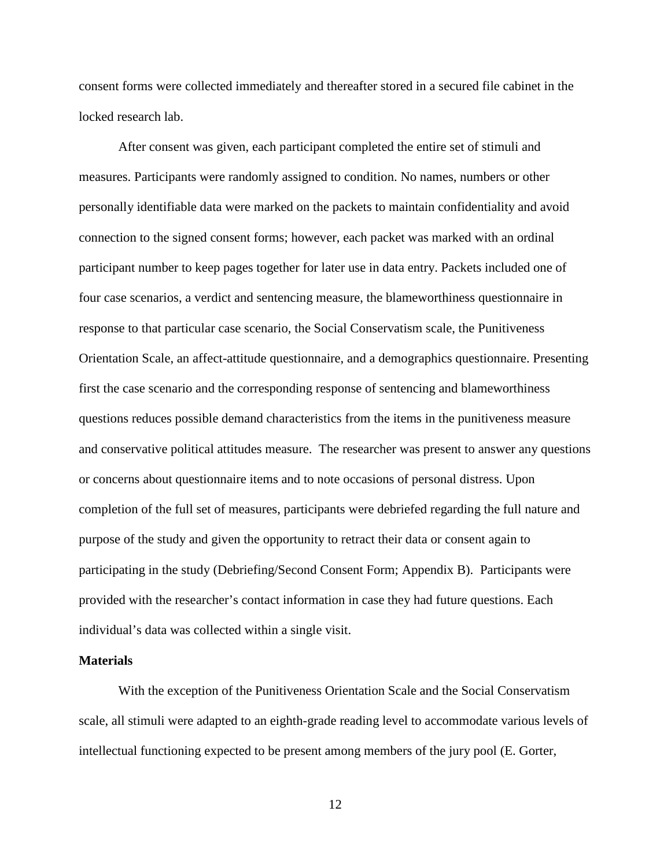consent forms were collected immediately and thereafter stored in a secured file cabinet in the locked research lab.

After consent was given, each participant completed the entire set of stimuli and measures. Participants were randomly assigned to condition. No names, numbers or other personally identifiable data were marked on the packets to maintain confidentiality and avoid connection to the signed consent forms; however, each packet was marked with an ordinal participant number to keep pages together for later use in data entry. Packets included one of four case scenarios, a verdict and sentencing measure, the blameworthiness questionnaire in response to that particular case scenario, the Social Conservatism scale, the Punitiveness Orientation Scale, an affect-attitude questionnaire, and a demographics questionnaire. Presenting first the case scenario and the corresponding response of sentencing and blameworthiness questions reduces possible demand characteristics from the items in the punitiveness measure and conservative political attitudes measure. The researcher was present to answer any questions or concerns about questionnaire items and to note occasions of personal distress. Upon completion of the full set of measures, participants were debriefed regarding the full nature and purpose of the study and given the opportunity to retract their data or consent again to participating in the study (Debriefing/Second Consent Form; Appendix B). Participants were provided with the researcher's contact information in case they had future questions. Each individual's data was collected within a single visit.

#### **Materials**

With the exception of the Punitiveness Orientation Scale and the Social Conservatism scale, all stimuli were adapted to an eighth-grade reading level to accommodate various levels of intellectual functioning expected to be present among members of the jury pool (E. Gorter,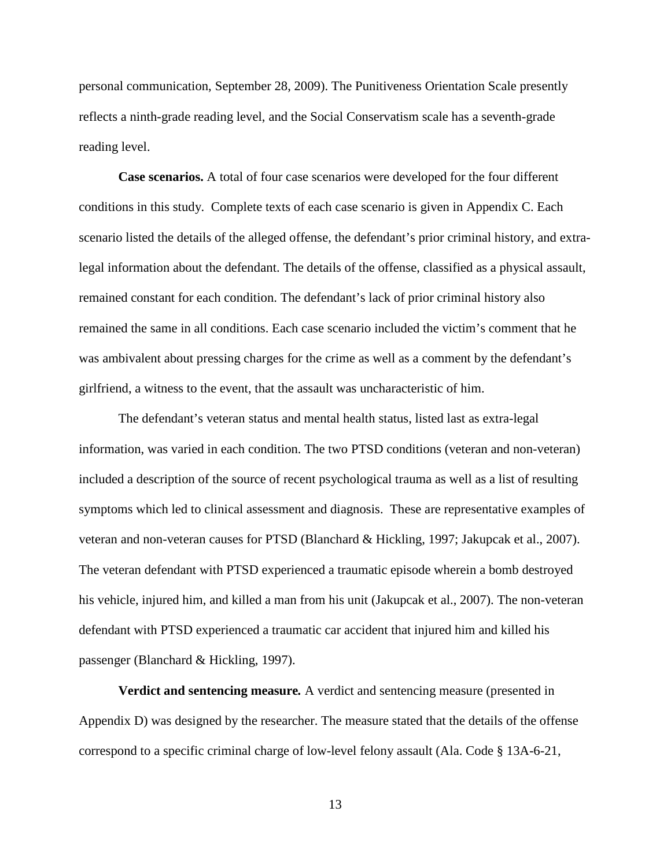personal communication, September 28, 2009). The Punitiveness Orientation Scale presently reflects a ninth-grade reading level, and the Social Conservatism scale has a seventh-grade reading level.

**Case scenarios.** A total of four case scenarios were developed for the four different conditions in this study. Complete texts of each case scenario is given in Appendix C. Each scenario listed the details of the alleged offense, the defendant's prior criminal history, and extralegal information about the defendant. The details of the offense, classified as a physical assault, remained constant for each condition. The defendant's lack of prior criminal history also remained the same in all conditions. Each case scenario included the victim's comment that he was ambivalent about pressing charges for the crime as well as a comment by the defendant's girlfriend, a witness to the event, that the assault was uncharacteristic of him.

The defendant's veteran status and mental health status, listed last as extra-legal information, was varied in each condition. The two PTSD conditions (veteran and non-veteran) included a description of the source of recent psychological trauma as well as a list of resulting symptoms which led to clinical assessment and diagnosis. These are representative examples of veteran and non-veteran causes for PTSD (Blanchard & Hickling, 1997; Jakupcak et al., 2007). The veteran defendant with PTSD experienced a traumatic episode wherein a bomb destroyed his vehicle, injured him, and killed a man from his unit (Jakupcak et al., 2007). The non-veteran defendant with PTSD experienced a traumatic car accident that injured him and killed his passenger (Blanchard & Hickling, 1997).

**Verdict and sentencing measure***.* A verdict and sentencing measure (presented in Appendix D) was designed by the researcher. The measure stated that the details of the offense correspond to a specific criminal charge of low-level felony assault (Ala. Code § 13A-6-21,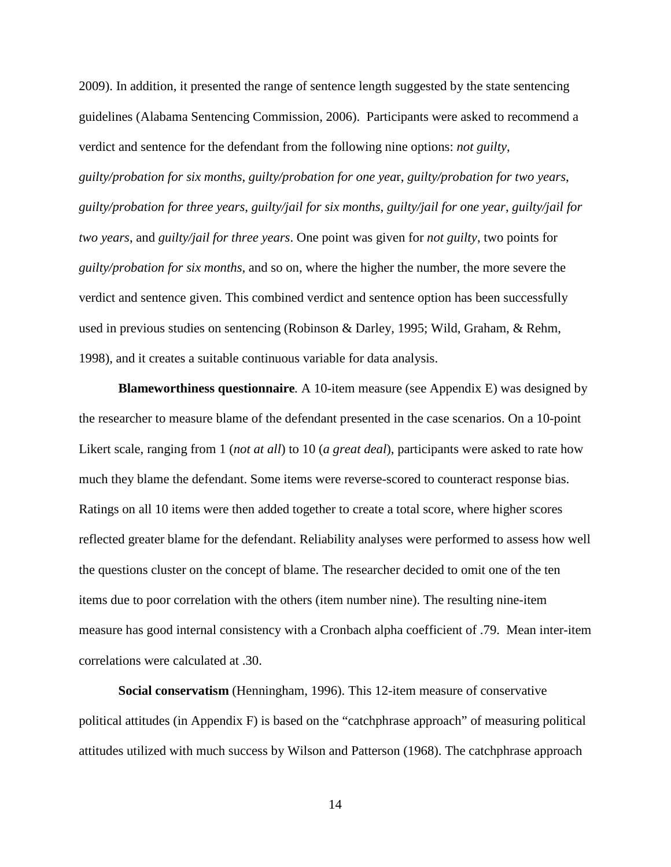2009). In addition, it presented the range of sentence length suggested by the state sentencing guidelines (Alabama Sentencing Commission, 2006). Participants were asked to recommend a verdict and sentence for the defendant from the following nine options: *not guilty*, *guilty/probation for six months*, *guilty/probation for one yea*r, *guilty/probation for two years*, *guilty/probation for three years*, *guilty/jail for six months*, *guilty/jail for one year*, *guilty/jail for two years*, and *guilty/jail for three years*. One point was given for *not guilty*, two points for *guilty/probation for six months*, and so on, where the higher the number, the more severe the verdict and sentence given. This combined verdict and sentence option has been successfully used in previous studies on sentencing (Robinson & Darley, 1995; Wild, Graham, & Rehm, 1998), and it creates a suitable continuous variable for data analysis.

**Blameworthiness questionnaire***.* A 10-item measure (see Appendix E) was designed by the researcher to measure blame of the defendant presented in the case scenarios. On a 10-point Likert scale, ranging from 1 (*not at all*) to 10 (*a great deal*), participants were asked to rate how much they blame the defendant. Some items were reverse-scored to counteract response bias. Ratings on all 10 items were then added together to create a total score, where higher scores reflected greater blame for the defendant. Reliability analyses were performed to assess how well the questions cluster on the concept of blame. The researcher decided to omit one of the ten items due to poor correlation with the others (item number nine). The resulting nine-item measure has good internal consistency with a Cronbach alpha coefficient of .79. Mean inter-item correlations were calculated at .30.

**Social conservatism** (Henningham, 1996). This 12-item measure of conservative political attitudes (in Appendix F) is based on the "catchphrase approach" of measuring political attitudes utilized with much success by Wilson and Patterson (1968). The catchphrase approach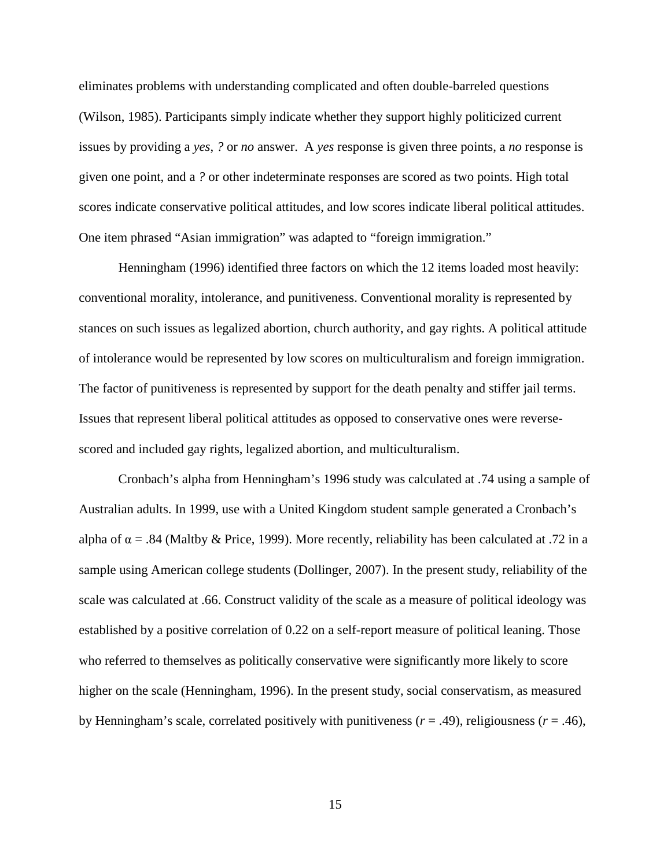eliminates problems with understanding complicated and often double-barreled questions (Wilson, 1985). Participants simply indicate whether they support highly politicized current issues by providing a *yes*, *?* or *no* answer. A *yes* response is given three points, a *no* response is given one point, and a *?* or other indeterminate responses are scored as two points. High total scores indicate conservative political attitudes, and low scores indicate liberal political attitudes. One item phrased "Asian immigration" was adapted to "foreign immigration."

Henningham (1996) identified three factors on which the 12 items loaded most heavily: conventional morality, intolerance, and punitiveness. Conventional morality is represented by stances on such issues as legalized abortion, church authority, and gay rights. A political attitude of intolerance would be represented by low scores on multiculturalism and foreign immigration. The factor of punitiveness is represented by support for the death penalty and stiffer jail terms. Issues that represent liberal political attitudes as opposed to conservative ones were reversescored and included gay rights, legalized abortion, and multiculturalism.

Cronbach's alpha from Henningham's 1996 study was calculated at .74 using a sample of Australian adults. In 1999, use with a United Kingdom student sample generated a Cronbach's alpha of  $\alpha$  = .84 (Maltby & Price, 1999). More recently, reliability has been calculated at .72 in a sample using American college students (Dollinger, 2007). In the present study, reliability of the scale was calculated at .66. Construct validity of the scale as a measure of political ideology was established by a positive correlation of 0.22 on a self-report measure of political leaning. Those who referred to themselves as politically conservative were significantly more likely to score higher on the scale (Henningham, 1996). In the present study, social conservatism, as measured by Henningham's scale, correlated positively with punitiveness  $(r = .49)$ , religiousness  $(r = .46)$ ,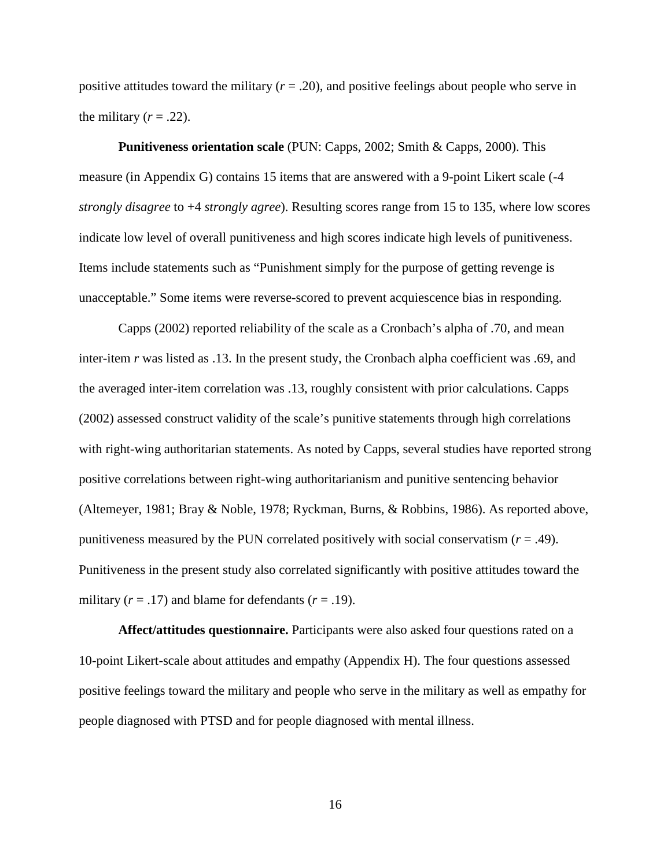positive attitudes toward the military  $(r = .20)$ , and positive feelings about people who serve in the military  $(r = .22)$ .

**Punitiveness orientation scale** (PUN: Capps, 2002; Smith & Capps, 2000). This measure (in Appendix G) contains 15 items that are answered with a 9-point Likert scale (-4 *strongly disagree* to +4 *strongly agree*). Resulting scores range from 15 to 135, where low scores indicate low level of overall punitiveness and high scores indicate high levels of punitiveness. Items include statements such as "Punishment simply for the purpose of getting revenge is unacceptable." Some items were reverse-scored to prevent acquiescence bias in responding.

Capps (2002) reported reliability of the scale as a Cronbach's alpha of .70, and mean inter-item *r* was listed as .13. In the present study, the Cronbach alpha coefficient was .69, and the averaged inter-item correlation was .13, roughly consistent with prior calculations. Capps (2002) assessed construct validity of the scale's punitive statements through high correlations with right-wing authoritarian statements. As noted by Capps, several studies have reported strong positive correlations between right-wing authoritarianism and punitive sentencing behavior (Altemeyer, 1981; Bray & Noble, 1978; Ryckman, Burns, & Robbins, 1986). As reported above, punitiveness measured by the PUN correlated positively with social conservatism (*r* = .49). Punitiveness in the present study also correlated significantly with positive attitudes toward the military  $(r = .17)$  and blame for defendants  $(r = .19)$ .

**Affect/attitudes questionnaire.** Participants were also asked four questions rated on a 10-point Likert-scale about attitudes and empathy (Appendix H). The four questions assessed positive feelings toward the military and people who serve in the military as well as empathy for people diagnosed with PTSD and for people diagnosed with mental illness.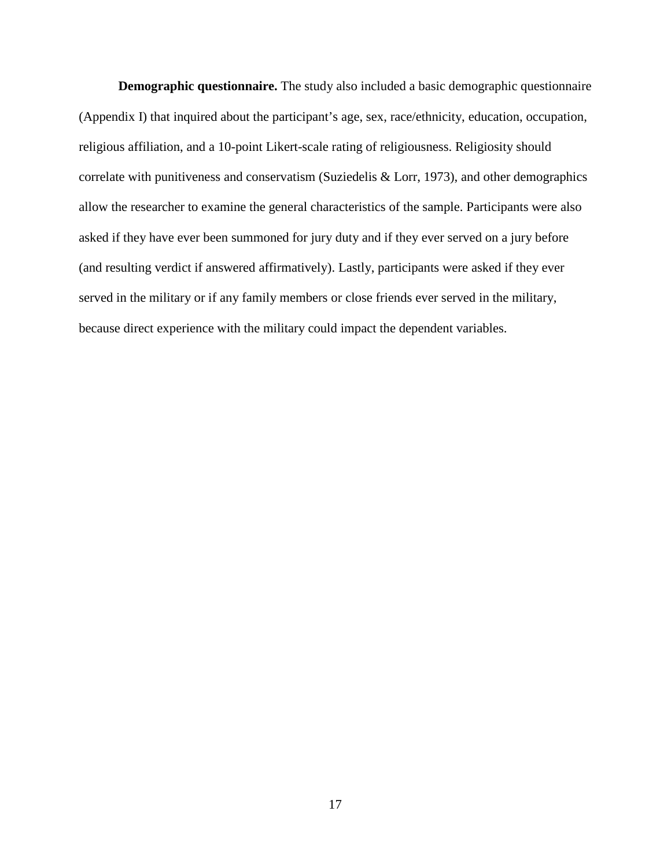**Demographic questionnaire.** The study also included a basic demographic questionnaire (Appendix I) that inquired about the participant's age, sex, race/ethnicity, education, occupation, religious affiliation, and a 10-point Likert-scale rating of religiousness. Religiosity should correlate with punitiveness and conservatism (Suziedelis & Lorr, 1973), and other demographics allow the researcher to examine the general characteristics of the sample. Participants were also asked if they have ever been summoned for jury duty and if they ever served on a jury before (and resulting verdict if answered affirmatively). Lastly, participants were asked if they ever served in the military or if any family members or close friends ever served in the military, because direct experience with the military could impact the dependent variables.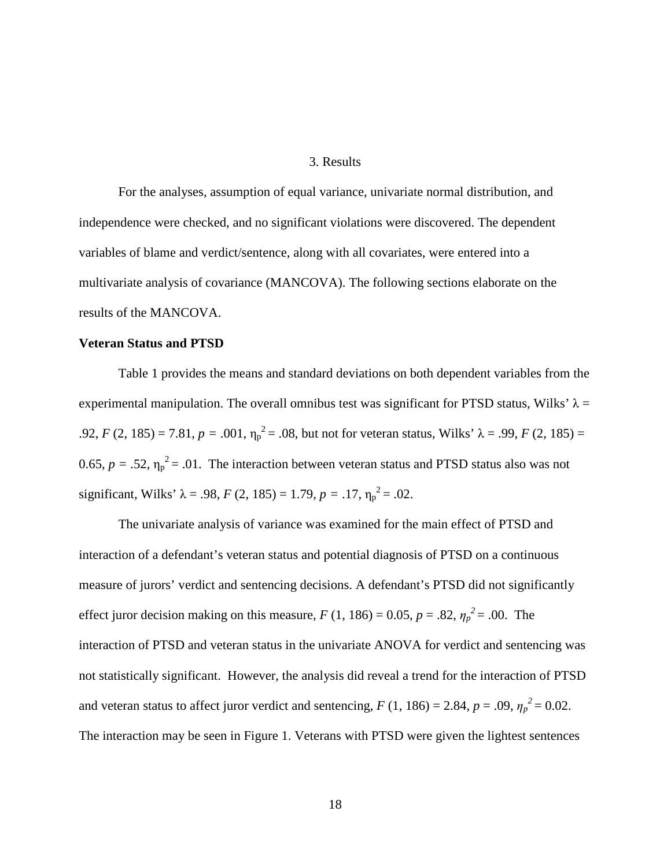#### 3. Results

For the analyses, assumption of equal variance, univariate normal distribution, and independence were checked, and no significant violations were discovered. The dependent variables of blame and verdict/sentence, along with all covariates, were entered into a multivariate analysis of covariance (MANCOVA). The following sections elaborate on the results of the MANCOVA.

#### **Veteran Status and PTSD**

Table 1 provides the means and standard deviations on both dependent variables from the experimental manipulation. The overall omnibus test was significant for PTSD status, Wilks'  $\lambda$  = .92, *F* (2, 185) = 7.81, *p* = .001,  $\eta_p^2$  = .08, but not for veteran status, Wilks'  $\lambda$  = .99, *F* (2, 185) = 0.65,  $p = .52$ ,  $\eta_p^2 = .01$ . The interaction between veteran status and PTSD status also was not significant, Wilks'  $\lambda = .98$ ,  $F (2, 185) = 1.79$ ,  $p = .17$ ,  $\eta_p^2 = .02$ .

The univariate analysis of variance was examined for the main effect of PTSD and interaction of a defendant's veteran status and potential diagnosis of PTSD on a continuous measure of jurors' verdict and sentencing decisions. A defendant's PTSD did not significantly effect juror decision making on this measure,  $F(1, 186) = 0.05$ ,  $p = .82$ ,  $\eta_p^2 = .00$ . The interaction of PTSD and veteran status in the univariate ANOVA for verdict and sentencing was not statistically significant. However, the analysis did reveal a trend for the interaction of PTSD and veteran status to affect juror verdict and sentencing,  $F(1, 186) = 2.84$ ,  $p = .09$ ,  $\eta_p^2 = 0.02$ . The interaction may be seen in Figure 1. Veterans with PTSD were given the lightest sentences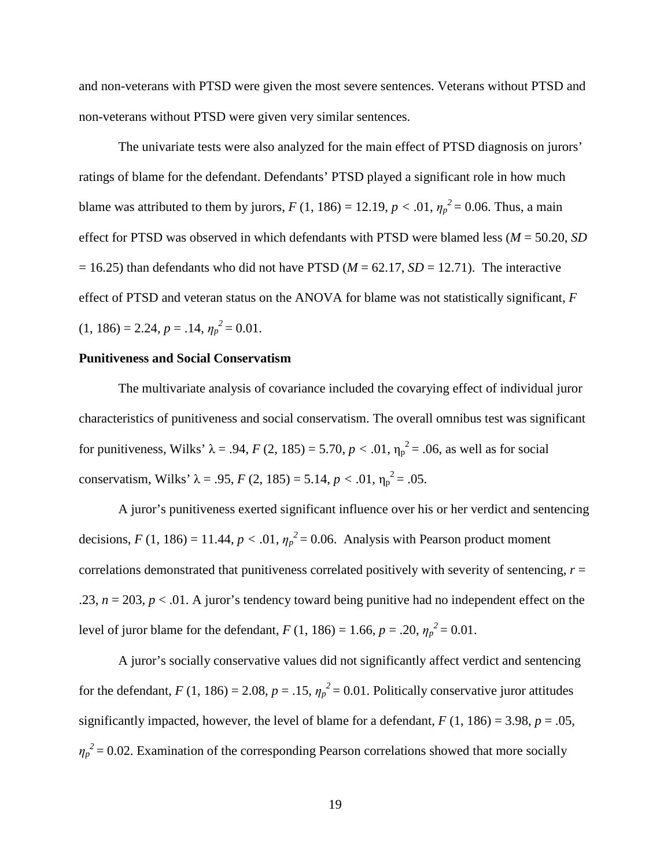and non-veterans with PTSD were given the most severe sentences. Veterans without PTSD and non-veterans without PTSD were given very similar sentences.

The univariate tests were also analyzed for the main effect of PTSD diagnosis on jurors' ratings of blame for the defendant. Defendants' PTSD played a significant role in how much blame was attributed to them by jurors,  $F(1, 186) = 12.19$ ,  $p < .01$ ,  $\eta_p^2 = 0.06$ . Thus, a main effect for PTSD was observed in which defendants with PTSD were blamed less (*M* = 50.20, *SD*  $= 16.25$ ) than defendants who did not have PTSD ( $M = 62.17$ ,  $SD = 12.71$ ). The interactive effect of PTSD and veteran status on the ANOVA for blame was not statistically significant, *F*   $(1, 186) = 2.24, p = .14, \eta_p^2 = 0.01.$ 

#### **Punitiveness and Social Conservatism**

The multivariate analysis of covariance included the covarying effect of individual juror characteristics of punitiveness and social conservatism. The overall omnibus test was significant for punitiveness, Wilks'  $λ = .94$ ,  $F(2, 185) = 5.70$ ,  $p < .01$ ,  $η<sub>p</sub><sup>2</sup> = .06$ , as well as for social conservatism, Wilks'  $\lambda = .95$ ,  $F(2, 185) = 5.14$ ,  $p < .01$ ,  $\eta_p^2 = .05$ .

A juror's punitiveness exerted significant influence over his or her verdict and sentencing decisions,  $F(1, 186) = 11.44$ ,  $p < .01$ ,  $\eta_p^2 = 0.06$ . Analysis with Pearson product moment correlations demonstrated that punitiveness correlated positively with severity of sentencing, *r* = .23,  $n = 203$ ,  $p < 0.01$ . A juror's tendency toward being punitive had no independent effect on the level of juror blame for the defendant,  $F(1, 186) = 1.66$ ,  $p = .20$ ,  $\eta_p^2 = 0.01$ .

A juror's socially conservative values did not significantly affect verdict and sentencing for the defendant,  $F(1, 186) = 2.08$ ,  $p = .15$ ,  $\eta_p^2 = 0.01$ . Politically conservative juror attitudes significantly impacted, however, the level of blame for a defendant,  $F(1, 186) = 3.98$ ,  $p = .05$ ,  $\eta_p^2$  = 0.02. Examination of the corresponding Pearson correlations showed that more socially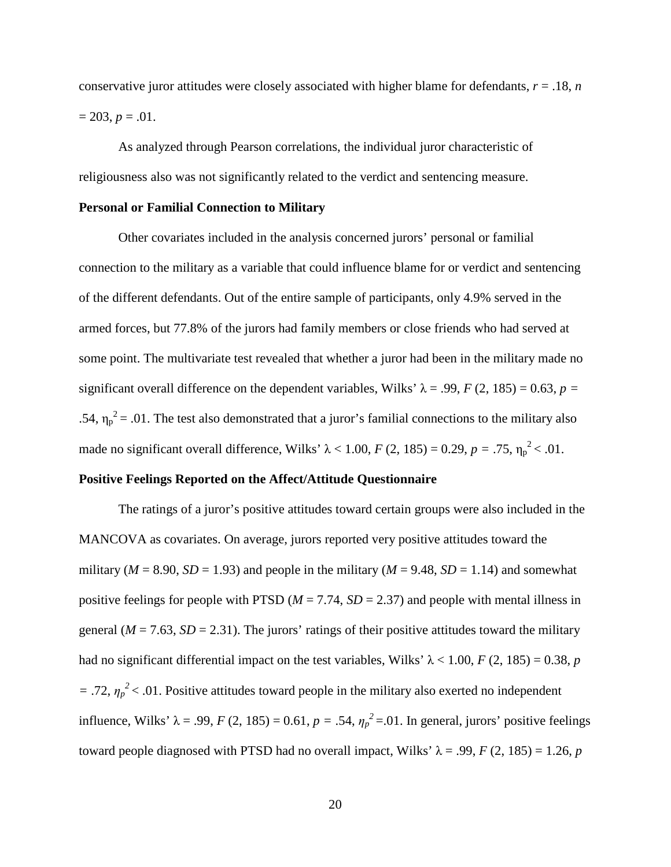conservative juror attitudes were closely associated with higher blame for defendants,  $r = 0.18$ , *n*  $= 203, p = .01.$ 

As analyzed through Pearson correlations, the individual juror characteristic of religiousness also was not significantly related to the verdict and sentencing measure.

#### **Personal or Familial Connection to Military**

Other covariates included in the analysis concerned jurors' personal or familial connection to the military as a variable that could influence blame for or verdict and sentencing of the different defendants. Out of the entire sample of participants, only 4.9% served in the armed forces, but 77.8% of the jurors had family members or close friends who had served at some point. The multivariate test revealed that whether a juror had been in the military made no significant overall difference on the dependent variables, Wilks'  $\lambda = .99$ ,  $F(2, 185) = 0.63$ ,  $p =$ .54,  $\eta_p^2$  = .01. The test also demonstrated that a juror's familial connections to the military also made no significant overall difference, Wilks'  $\lambda$  < 1.00, *F* (2, 185) = 0.29, *p* = .75,  $\eta_p^2$  < .01.

### **Positive Feelings Reported on the Affect/Attitude Questionnaire**

The ratings of a juror's positive attitudes toward certain groups were also included in the MANCOVA as covariates. On average, jurors reported very positive attitudes toward the military ( $M = 8.90$ ,  $SD = 1.93$ ) and people in the military ( $M = 9.48$ ,  $SD = 1.14$ ) and somewhat positive feelings for people with PTSD ( $M = 7.74$ ,  $SD = 2.37$ ) and people with mental illness in general  $(M = 7.63, SD = 2.31)$ . The jurors' ratings of their positive attitudes toward the military had no significant differential impact on the test variables, Wilks'  $\lambda$  < 1.00, *F* (2, 185) = 0.38, *p*  $=$  .72,  $\eta_p^2$  < .01. Positive attitudes toward people in the military also exerted no independent influence, Wilks'  $\lambda = .99$ ,  $F (2, 185) = 0.61$ ,  $p = .54$ ,  $\eta_p^2 = .01$ . In general, jurors' positive feelings toward people diagnosed with PTSD had no overall impact, Wilks'  $λ = .99$ ,  $F(2, 185) = 1.26$ , *p*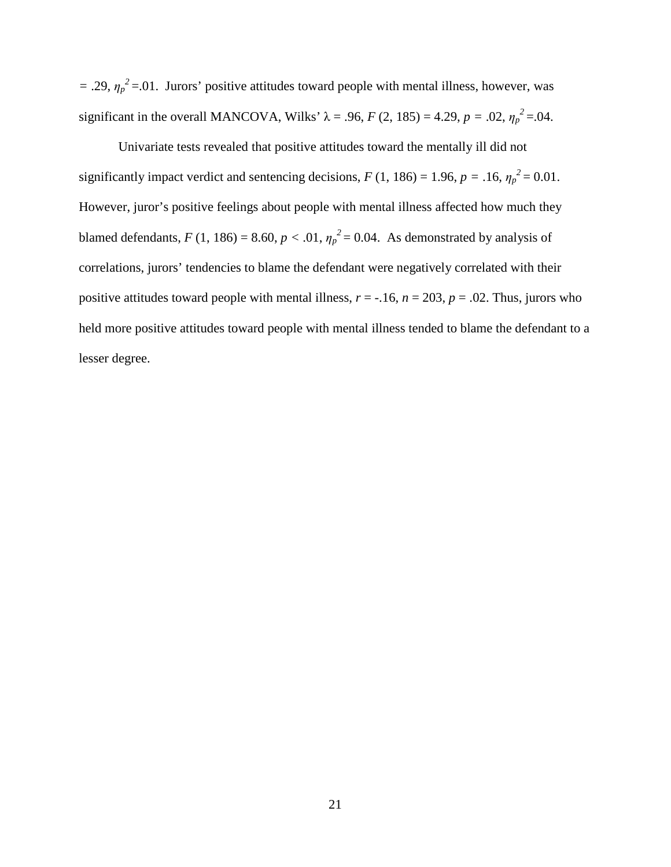$=$  .29,  $\eta_p^2$  = .01. Jurors' positive attitudes toward people with mental illness, however, was significant in the overall MANCOVA, Wilks'  $\lambda = .96$ ,  $F (2, 185) = 4.29$ ,  $p = .02$ ,  $\eta_p^2 = .04$ .

Univariate tests revealed that positive attitudes toward the mentally ill did not significantly impact verdict and sentencing decisions,  $F(1, 186) = 1.96$ ,  $p = .16$ ,  $\eta_p^2 = 0.01$ . However, juror's positive feelings about people with mental illness affected how much they blamed defendants,  $F(1, 186) = 8.60$ ,  $p < .01$ ,  $\eta_p^2 = 0.04$ . As demonstrated by analysis of correlations, jurors' tendencies to blame the defendant were negatively correlated with their positive attitudes toward people with mental illness,  $r = -.16$ ,  $n = 203$ ,  $p = .02$ . Thus, jurors who held more positive attitudes toward people with mental illness tended to blame the defendant to a lesser degree.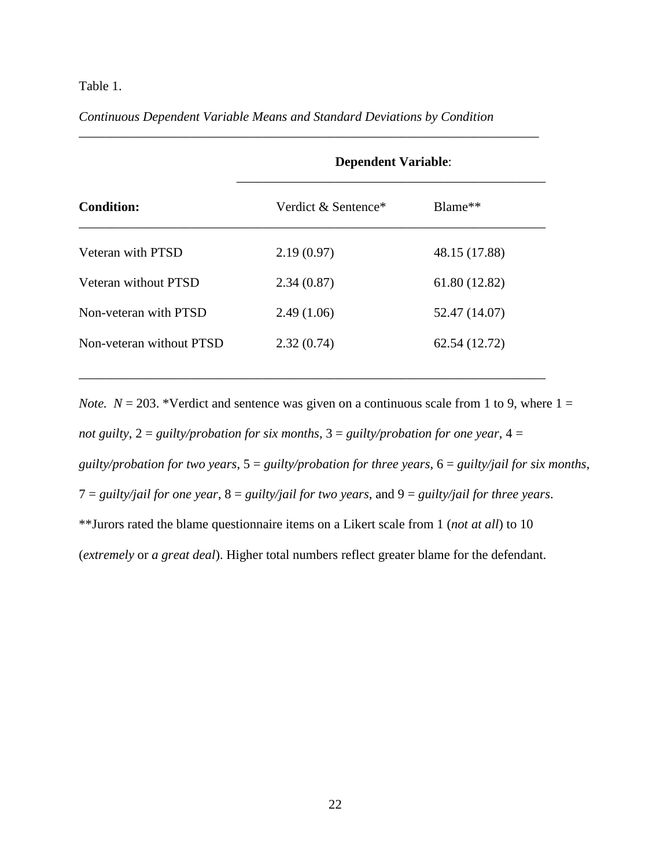### Table 1.

### *Continuous Dependent Variable Means and Standard Deviations by Condition*

|                          | <b>Dependent Variable:</b> |               |  |  |  |  |  |
|--------------------------|----------------------------|---------------|--|--|--|--|--|
| <b>Condition:</b>        | Verdict & Sentence*        | $Blame**$     |  |  |  |  |  |
| Veteran with PTSD        | 2.19(0.97)                 | 48.15 (17.88) |  |  |  |  |  |
| Veteran without PTSD     | 2.34(0.87)                 | 61.80 (12.82) |  |  |  |  |  |
| Non-veteran with PTSD    | 2.49(1.06)                 | 52.47 (14.07) |  |  |  |  |  |
| Non-veteran without PTSD | 2.32(0.74)                 | 62.54 (12.72) |  |  |  |  |  |

\_\_\_\_\_\_\_\_\_\_\_\_\_\_\_\_\_\_\_\_\_\_\_\_\_\_\_\_\_\_\_\_\_\_\_\_\_\_\_\_\_\_\_\_\_\_\_\_\_\_\_\_\_\_\_\_\_\_\_\_\_\_\_\_\_\_\_\_\_\_\_

*\_\_\_\_\_\_\_\_\_\_\_\_\_\_\_\_\_\_\_\_\_\_\_\_\_\_\_\_\_\_\_\_\_\_\_\_\_\_\_\_\_\_\_\_\_\_\_\_\_\_\_\_\_\_\_\_\_\_\_\_\_\_\_\_\_\_\_\_\_\_* 

*Note.*  $N = 203$ . \*Verdict and sentence was given on a continuous scale from 1 to 9, where  $1 =$ *not guilty*, 2 = *guilty/probation for six months*, 3 = *guilty/probation for one year*, 4 = *guilty/probation for two years*, 5 = *guilty/probation for three years*, 6 = *guilty/jail for six months*, 7 = *guilty/jail for one year*, 8 = *guilty/jail for two years*, and 9 = *guilty/jail for three years*. \*\*Jurors rated the blame questionnaire items on a Likert scale from 1 (*not at all*) to 10 (*extremely* or *a great deal*). Higher total numbers reflect greater blame for the defendant.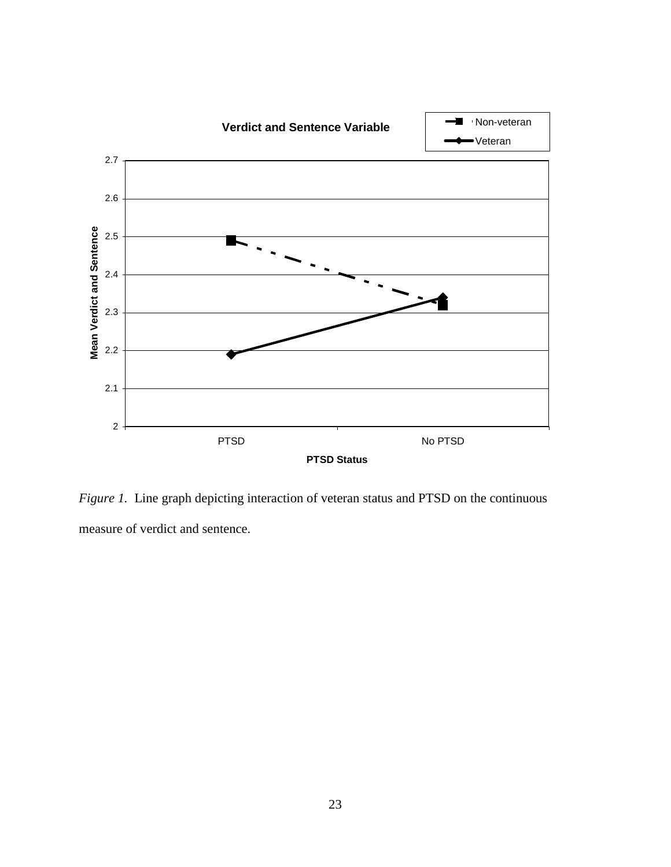

*Figure 1.* Line graph depicting interaction of veteran status and PTSD on the continuous measure of verdict and sentence.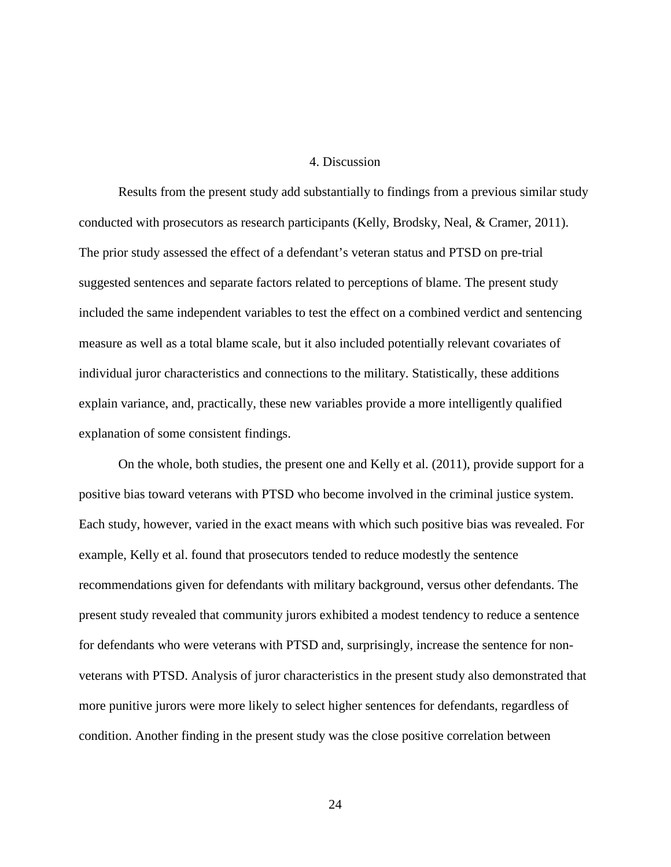#### 4. Discussion

Results from the present study add substantially to findings from a previous similar study conducted with prosecutors as research participants (Kelly, Brodsky, Neal, & Cramer, 2011). The prior study assessed the effect of a defendant's veteran status and PTSD on pre-trial suggested sentences and separate factors related to perceptions of blame. The present study included the same independent variables to test the effect on a combined verdict and sentencing measure as well as a total blame scale, but it also included potentially relevant covariates of individual juror characteristics and connections to the military. Statistically, these additions explain variance, and, practically, these new variables provide a more intelligently qualified explanation of some consistent findings.

 On the whole, both studies, the present one and Kelly et al. (2011), provide support for a positive bias toward veterans with PTSD who become involved in the criminal justice system. Each study, however, varied in the exact means with which such positive bias was revealed. For example, Kelly et al. found that prosecutors tended to reduce modestly the sentence recommendations given for defendants with military background, versus other defendants. The present study revealed that community jurors exhibited a modest tendency to reduce a sentence for defendants who were veterans with PTSD and, surprisingly, increase the sentence for nonveterans with PTSD. Analysis of juror characteristics in the present study also demonstrated that more punitive jurors were more likely to select higher sentences for defendants, regardless of condition. Another finding in the present study was the close positive correlation between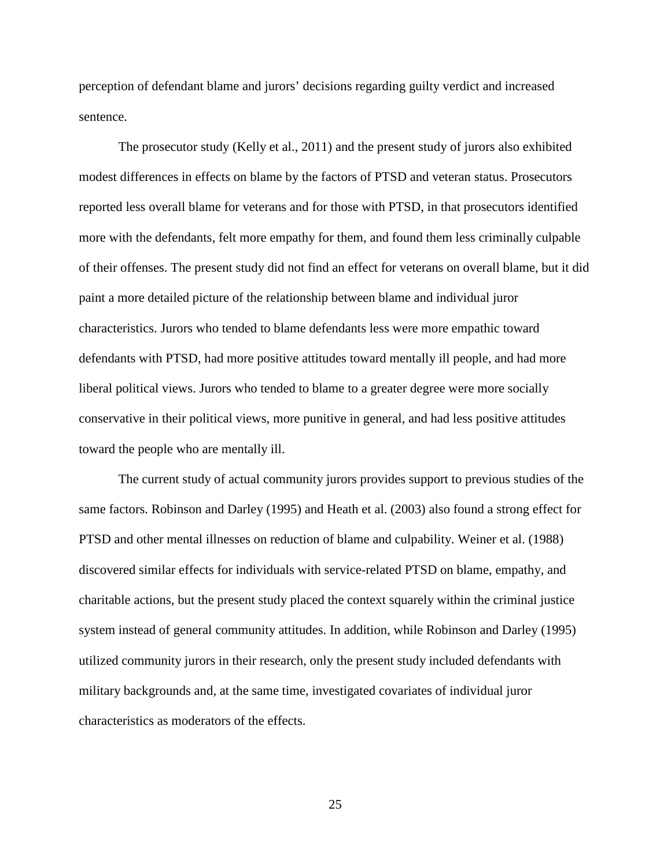perception of defendant blame and jurors' decisions regarding guilty verdict and increased sentence.

 The prosecutor study (Kelly et al., 2011) and the present study of jurors also exhibited modest differences in effects on blame by the factors of PTSD and veteran status. Prosecutors reported less overall blame for veterans and for those with PTSD, in that prosecutors identified more with the defendants, felt more empathy for them, and found them less criminally culpable of their offenses. The present study did not find an effect for veterans on overall blame, but it did paint a more detailed picture of the relationship between blame and individual juror characteristics. Jurors who tended to blame defendants less were more empathic toward defendants with PTSD, had more positive attitudes toward mentally ill people, and had more liberal political views. Jurors who tended to blame to a greater degree were more socially conservative in their political views, more punitive in general, and had less positive attitudes toward the people who are mentally ill.

 The current study of actual community jurors provides support to previous studies of the same factors. Robinson and Darley (1995) and Heath et al. (2003) also found a strong effect for PTSD and other mental illnesses on reduction of blame and culpability. Weiner et al. (1988) discovered similar effects for individuals with service-related PTSD on blame, empathy, and charitable actions, but the present study placed the context squarely within the criminal justice system instead of general community attitudes. In addition, while Robinson and Darley (1995) utilized community jurors in their research, only the present study included defendants with military backgrounds and, at the same time, investigated covariates of individual juror characteristics as moderators of the effects.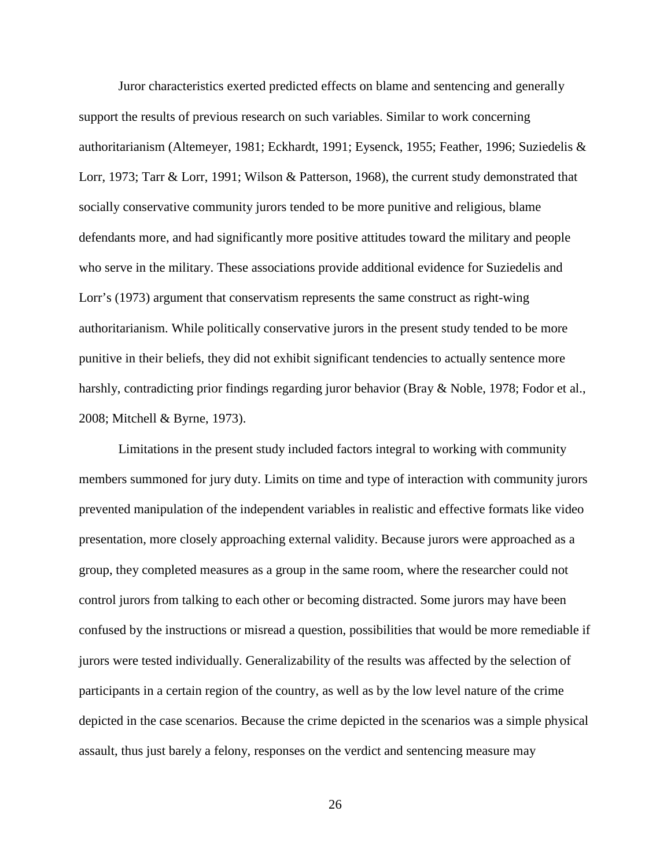Juror characteristics exerted predicted effects on blame and sentencing and generally support the results of previous research on such variables. Similar to work concerning authoritarianism (Altemeyer, 1981; Eckhardt, 1991; Eysenck, 1955; Feather, 1996; Suziedelis & Lorr, 1973; Tarr & Lorr, 1991; Wilson & Patterson, 1968), the current study demonstrated that socially conservative community jurors tended to be more punitive and religious, blame defendants more, and had significantly more positive attitudes toward the military and people who serve in the military. These associations provide additional evidence for Suziedelis and Lorr's (1973) argument that conservatism represents the same construct as right-wing authoritarianism. While politically conservative jurors in the present study tended to be more punitive in their beliefs, they did not exhibit significant tendencies to actually sentence more harshly, contradicting prior findings regarding juror behavior (Bray & Noble, 1978; Fodor et al., 2008; Mitchell & Byrne, 1973).

Limitations in the present study included factors integral to working with community members summoned for jury duty. Limits on time and type of interaction with community jurors prevented manipulation of the independent variables in realistic and effective formats like video presentation, more closely approaching external validity. Because jurors were approached as a group, they completed measures as a group in the same room, where the researcher could not control jurors from talking to each other or becoming distracted. Some jurors may have been confused by the instructions or misread a question, possibilities that would be more remediable if jurors were tested individually. Generalizability of the results was affected by the selection of participants in a certain region of the country, as well as by the low level nature of the crime depicted in the case scenarios. Because the crime depicted in the scenarios was a simple physical assault, thus just barely a felony, responses on the verdict and sentencing measure may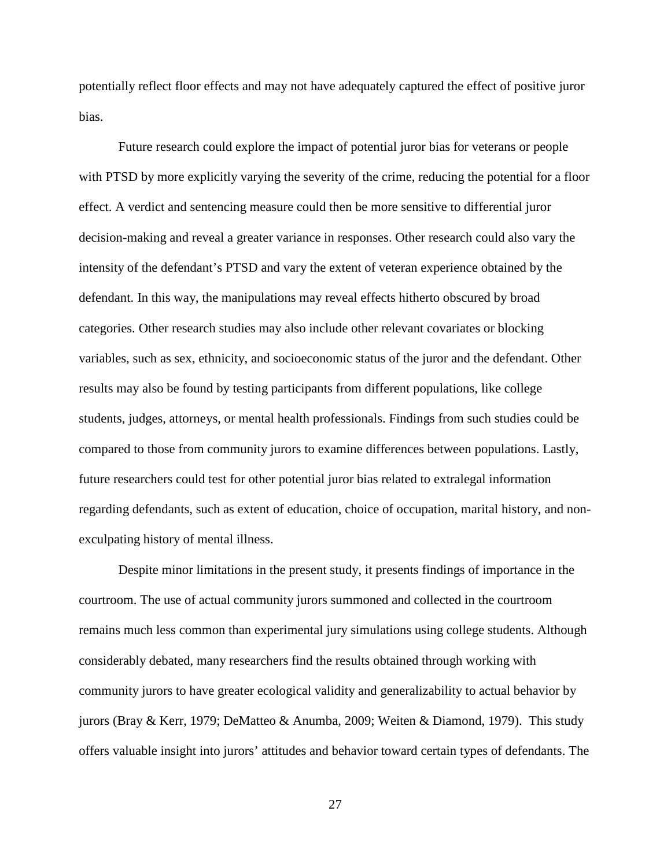potentially reflect floor effects and may not have adequately captured the effect of positive juror bias.

 Future research could explore the impact of potential juror bias for veterans or people with PTSD by more explicitly varying the severity of the crime, reducing the potential for a floor effect. A verdict and sentencing measure could then be more sensitive to differential juror decision-making and reveal a greater variance in responses. Other research could also vary the intensity of the defendant's PTSD and vary the extent of veteran experience obtained by the defendant. In this way, the manipulations may reveal effects hitherto obscured by broad categories. Other research studies may also include other relevant covariates or blocking variables, such as sex, ethnicity, and socioeconomic status of the juror and the defendant. Other results may also be found by testing participants from different populations, like college students, judges, attorneys, or mental health professionals. Findings from such studies could be compared to those from community jurors to examine differences between populations. Lastly, future researchers could test for other potential juror bias related to extralegal information regarding defendants, such as extent of education, choice of occupation, marital history, and nonexculpating history of mental illness.

 Despite minor limitations in the present study, it presents findings of importance in the courtroom. The use of actual community jurors summoned and collected in the courtroom remains much less common than experimental jury simulations using college students. Although considerably debated, many researchers find the results obtained through working with community jurors to have greater ecological validity and generalizability to actual behavior by jurors (Bray & Kerr, 1979; DeMatteo & Anumba, 2009; Weiten & Diamond, 1979). This study offers valuable insight into jurors' attitudes and behavior toward certain types of defendants. The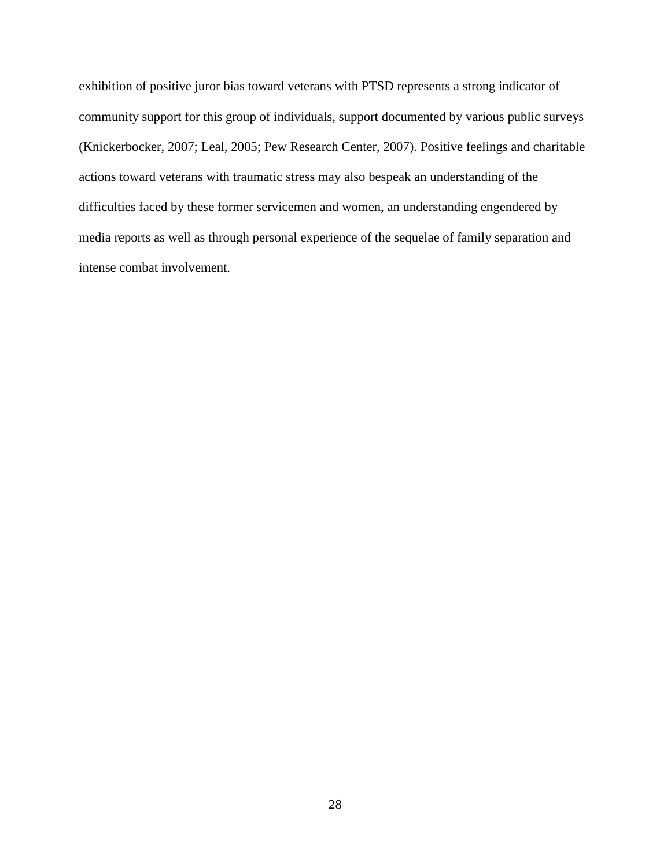exhibition of positive juror bias toward veterans with PTSD represents a strong indicator of community support for this group of individuals, support documented by various public surveys (Knickerbocker, 2007; Leal, 2005; Pew Research Center, 2007). Positive feelings and charitable actions toward veterans with traumatic stress may also bespeak an understanding of the difficulties faced by these former servicemen and women, an understanding engendered by media reports as well as through personal experience of the sequelae of family separation and intense combat involvement.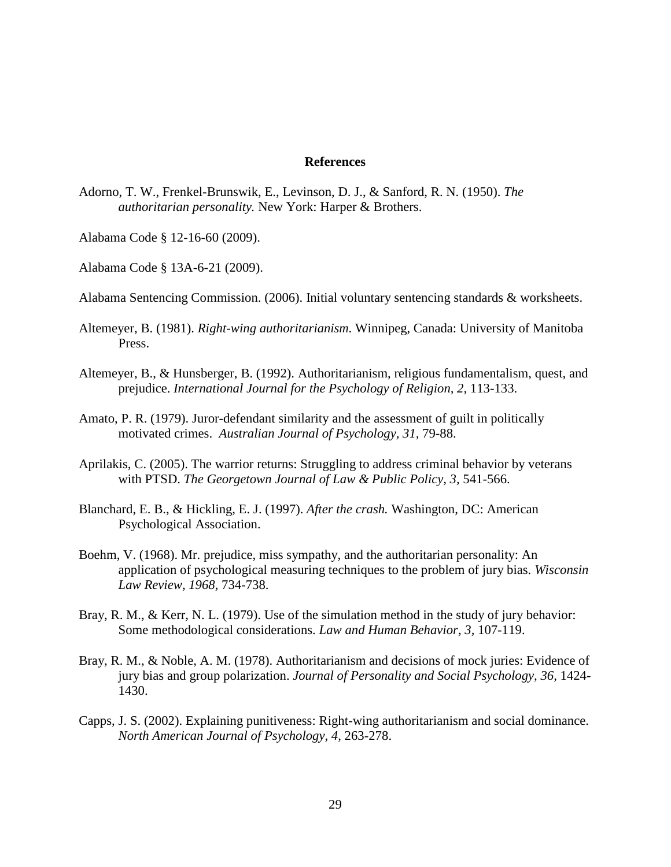#### **References**

- Adorno, T. W., Frenkel-Brunswik, E., Levinson, D. J., & Sanford, R. N. (1950). *The authoritarian personality.* New York: Harper & Brothers.
- Alabama Code § 12-16-60 (2009).
- Alabama Code § 13A-6-21 (2009).
- Alabama Sentencing Commission. (2006). Initial voluntary sentencing standards & worksheets.
- Altemeyer, B. (1981). *Right-wing authoritarianism*. Winnipeg, Canada: University of Manitoba Press.
- Altemeyer, B., & Hunsberger, B. (1992). Authoritarianism, religious fundamentalism, quest, and prejudice. *International Journal for the Psychology of Religion, 2,* 113-133.
- Amato, P. R. (1979). Juror-defendant similarity and the assessment of guilt in politically motivated crimes. *Australian Journal of Psychology, 31,* 79-88.
- Aprilakis, C. (2005). The warrior returns: Struggling to address criminal behavior by veterans with PTSD. *The Georgetown Journal of Law & Public Policy, 3,* 541-566.
- Blanchard, E. B., & Hickling, E. J. (1997). *After the crash.* Washington, DC: American Psychological Association.
- Boehm, V. (1968). Mr. prejudice, miss sympathy, and the authoritarian personality: An application of psychological measuring techniques to the problem of jury bias. *Wisconsin Law Review, 1968,* 734-738.
- Bray, R. M., & Kerr, N. L. (1979). Use of the simulation method in the study of jury behavior: Some methodological considerations. *Law and Human Behavior, 3,* 107-119.
- Bray, R. M., & Noble, A. M. (1978). Authoritarianism and decisions of mock juries: Evidence of jury bias and group polarization. *Journal of Personality and Social Psychology, 36,* 1424- 1430.
- Capps, J. S. (2002). Explaining punitiveness: Right-wing authoritarianism and social dominance. *North American Journal of Psychology, 4,* 263-278.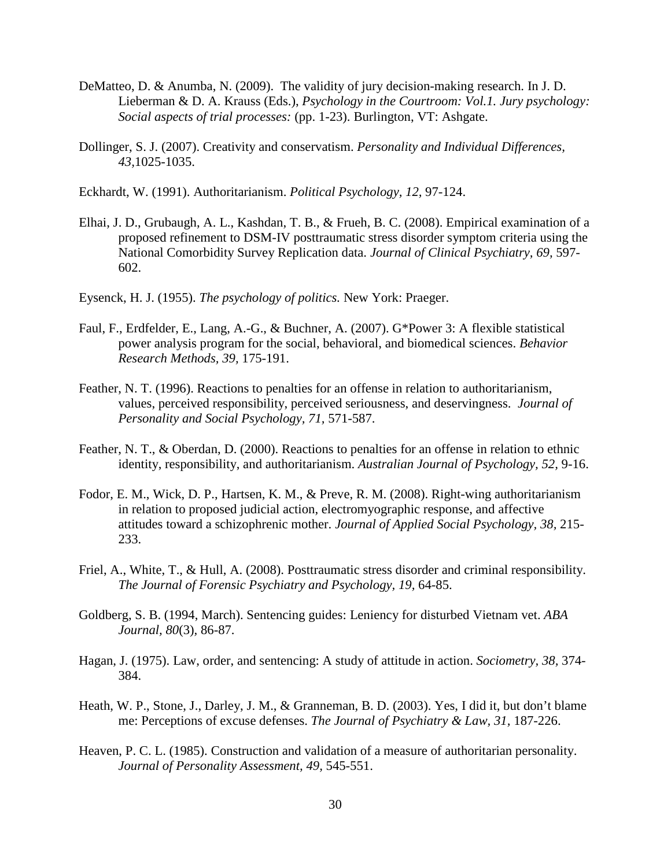- DeMatteo, D. & Anumba, N. (2009). The validity of jury decision-making research. In J. D. Lieberman & D. A. Krauss (Eds.), *Psychology in the Courtroom: Vol.1. Jury psychology: Social aspects of trial processes:* (pp. 1-23). Burlington, VT: Ashgate.
- Dollinger, S. J. (2007). Creativity and conservatism. *Personality and Individual Differences, 43,*1025-1035.
- Eckhardt, W. (1991). Authoritarianism. *Political Psychology, 12,* 97-124.
- Elhai, J. D., Grubaugh, A. L., Kashdan, T. B., & Frueh, B. C. (2008). Empirical examination of a proposed refinement to DSM-IV posttraumatic stress disorder symptom criteria using the National Comorbidity Survey Replication data. *Journal of Clinical Psychiatry, 69,* 597- 602.
- Eysenck, H. J. (1955). *The psychology of politics.* New York: Praeger.
- Faul, F., Erdfelder, E., Lang, A.-G., & Buchner, A. (2007). G\*Power 3: A flexible statistical power analysis program for the social, behavioral, and biomedical sciences. *Behavior Research Methods, 39,* 175-191.
- Feather, N. T. (1996). Reactions to penalties for an offense in relation to authoritarianism, values, perceived responsibility, perceived seriousness, and deservingness. *Journal of Personality and Social Psychology, 71,* 571-587.
- Feather, N. T., & Oberdan, D. (2000). Reactions to penalties for an offense in relation to ethnic identity, responsibility, and authoritarianism. *Australian Journal of Psychology, 52,* 9-16.
- Fodor, E. M., Wick, D. P., Hartsen, K. M., & Preve, R. M. (2008). Right-wing authoritarianism in relation to proposed judicial action, electromyographic response, and affective attitudes toward a schizophrenic mother. *Journal of Applied Social Psychology, 38,* 215- 233.
- Friel, A., White, T., & Hull, A. (2008). Posttraumatic stress disorder and criminal responsibility. *The Journal of Forensic Psychiatry and Psychology, 19,* 64-85.
- Goldberg, S. B. (1994, March). Sentencing guides: Leniency for disturbed Vietnam vet. *ABA Journal, 80*(3)*,* 86-87.
- Hagan, J. (1975). Law, order, and sentencing: A study of attitude in action. *Sociometry, 38,* 374- 384.
- Heath, W. P., Stone, J., Darley, J. M., & Granneman, B. D. (2003). Yes, I did it, but don't blame me: Perceptions of excuse defenses. *The Journal of Psychiatry & Law, 31,* 187-226.
- Heaven, P. C. L. (1985). Construction and validation of a measure of authoritarian personality. *Journal of Personality Assessment, 49,* 545-551.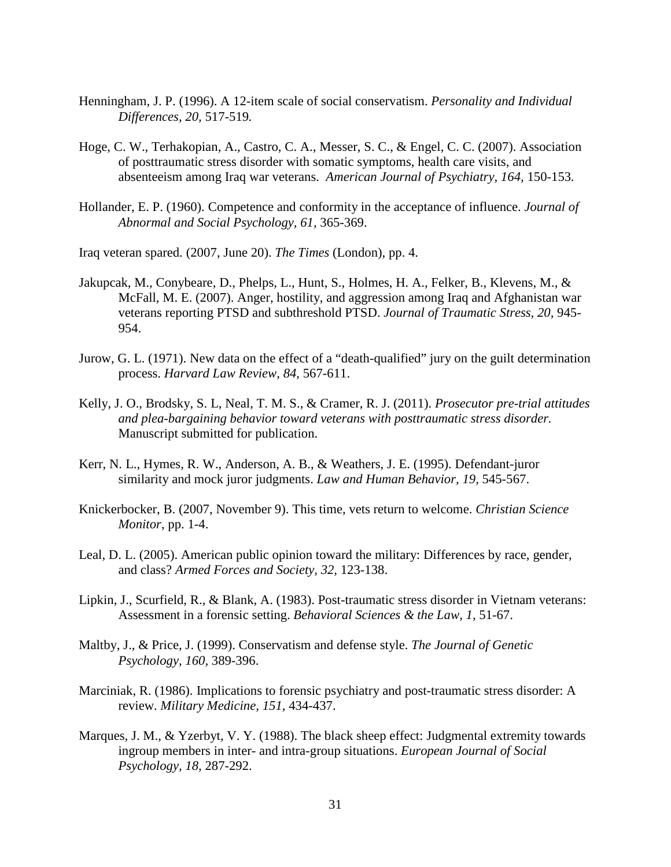- Henningham, J. P. (1996). A 12-item scale of social conservatism. *Personality and Individual Differences, 20,* 517-519*.*
- Hoge, C. W., Terhakopian, A., Castro, C. A., Messer, S. C., & Engel, C. C. (2007). Association of posttraumatic stress disorder with somatic symptoms, health care visits, and absenteeism among Iraq war veterans. *American Journal of Psychiatry, 164,* 150-153*.*
- Hollander, E. P. (1960). Competence and conformity in the acceptance of influence. *Journal of Abnormal and Social Psychology, 61,* 365-369.

Iraq veteran spared. (2007, June 20). *The Times* (London), pp. 4.

- Jakupcak, M., Conybeare, D., Phelps, L., Hunt, S., Holmes, H. A., Felker, B., Klevens, M., & McFall, M. E. (2007). Anger, hostility, and aggression among Iraq and Afghanistan war veterans reporting PTSD and subthreshold PTSD. *Journal of Traumatic Stress, 20,* 945- 954.
- Jurow, G. L. (1971). New data on the effect of a "death-qualified" jury on the guilt determination process. *Harvard Law Review, 84,* 567-611.
- Kelly, J. O., Brodsky, S. L, Neal, T. M. S., & Cramer, R. J. (2011). *Prosecutor pre-trial attitudes and plea-bargaining behavior toward veterans with posttraumatic stress disorder.* Manuscript submitted for publication.
- Kerr, N. L., Hymes, R. W., Anderson, A. B., & Weathers, J. E. (1995). Defendant-juror similarity and mock juror judgments. *Law and Human Behavior, 19,* 545-567.
- Knickerbocker, B. (2007, November 9). This time, vets return to welcome. *Christian Science Monitor*, pp. 1-4.
- Leal, D. L. (2005). American public opinion toward the military: Differences by race, gender, and class? *Armed Forces and Society, 32,* 123-138.
- Lipkin, J., Scurfield, R., & Blank, A. (1983). Post-traumatic stress disorder in Vietnam veterans: Assessment in a forensic setting. *Behavioral Sciences & the Law, 1,* 51-67.
- Maltby, J., & Price, J. (1999). Conservatism and defense style. *The Journal of Genetic Psychology, 160,* 389-396.
- Marciniak, R. (1986). Implications to forensic psychiatry and post-traumatic stress disorder: A review. *Military Medicine, 151,* 434-437.
- Marques, J. M., & Yzerbyt, V. Y. (1988). The black sheep effect: Judgmental extremity towards ingroup members in inter- and intra-group situations. *European Journal of Social Psychology, 18,* 287-292.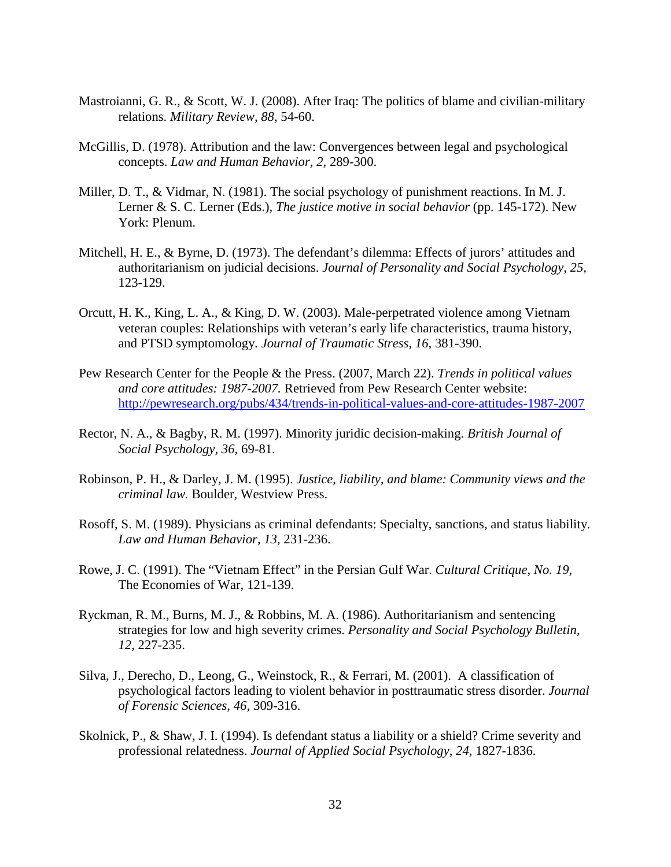- Mastroianni, G. R., & Scott, W. J. (2008). After Iraq: The politics of blame and civilian-military relations. *Military Review, 88,* 54-60.
- McGillis, D. (1978). Attribution and the law: Convergences between legal and psychological concepts. *Law and Human Behavior, 2,* 289-300.
- Miller, D. T., & Vidmar, N. (1981). The social psychology of punishment reactions. In M. J. Lerner & S. C. Lerner (Eds.), *The justice motive in social behavior* (pp. 145-172). New York: Plenum.
- Mitchell, H. E., & Byrne, D. (1973). The defendant's dilemma: Effects of jurors' attitudes and authoritarianism on judicial decisions. *Journal of Personality and Social Psychology, 25,*  123-129.
- Orcutt, H. K., King, L. A., & King, D. W. (2003). Male-perpetrated violence among Vietnam veteran couples: Relationships with veteran's early life characteristics, trauma history, and PTSD symptomology. *Journal of Traumatic Stress, 16,* 381-390.
- Pew Research Center for the People & the Press. (2007, March 22). *Trends in political values and core attitudes: 1987-2007.* Retrieved from Pew Research Center website: http://pewresearch.org/pubs/434/trends-in-political-values-and-core-attitudes-1987-2007
- Rector, N. A., & Bagby, R. M. (1997). Minority juridic decision-making. *British Journal of Social Psychology, 36,* 69-81.
- Robinson, P. H., & Darley, J. M. (1995). *Justice, liability, and blame: Community views and the criminal law.* Boulder, Westview Press.
- Rosoff, S. M. (1989). Physicians as criminal defendants: Specialty, sanctions, and status liability. *Law and Human Behavior, 13,* 231-236.
- Rowe, J. C. (1991). The "Vietnam Effect" in the Persian Gulf War. *Cultural Critique, No. 19,*  The Economies of War, 121-139.
- Ryckman, R. M., Burns, M. J., & Robbins, M. A. (1986). Authoritarianism and sentencing strategies for low and high severity crimes. *Personality and Social Psychology Bulletin, 12,* 227-235.
- Silva, J., Derecho, D., Leong, G., Weinstock, R., & Ferrari, M. (2001). A classification of psychological factors leading to violent behavior in posttraumatic stress disorder. *Journal of Forensic Sciences, 46,* 309-316.
- Skolnick, P., & Shaw, J. I. (1994). Is defendant status a liability or a shield? Crime severity and professional relatedness. *Journal of Applied Social Psychology, 24,* 1827-1836.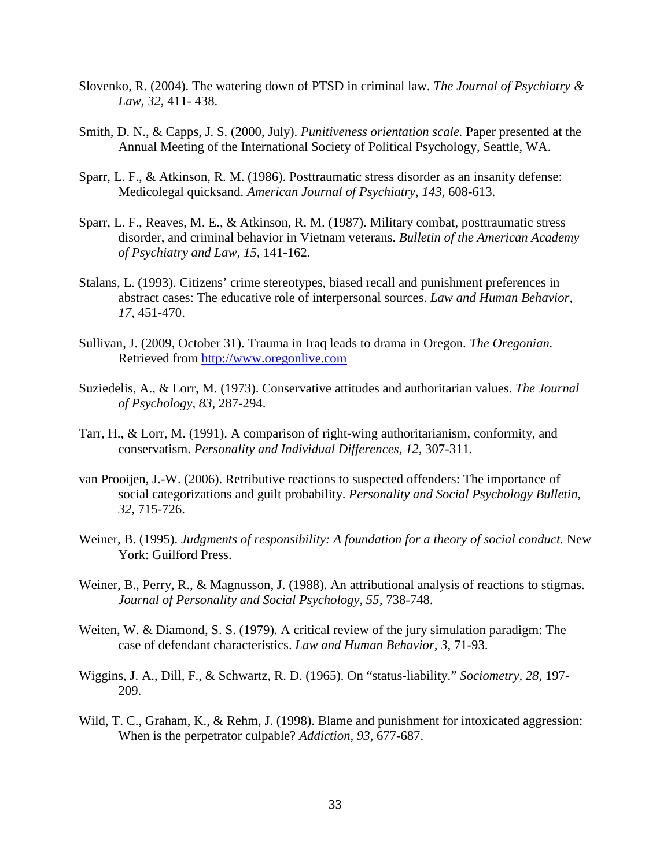- Slovenko, R. (2004). The watering down of PTSD in criminal law. *The Journal of Psychiatry & Law, 32,* 411- 438.
- Smith, D. N., & Capps, J. S. (2000, July). *Punitiveness orientation scale.* Paper presented at the Annual Meeting of the International Society of Political Psychology, Seattle, WA.
- Sparr, L. F., & Atkinson, R. M. (1986). Posttraumatic stress disorder as an insanity defense: Medicolegal quicksand. *American Journal of Psychiatry, 143,* 608-613.
- Sparr, L. F., Reaves, M. E., & Atkinson, R. M. (1987). Military combat, posttraumatic stress disorder, and criminal behavior in Vietnam veterans. *Bulletin of the American Academy of Psychiatry and Law, 15,* 141-162.
- Stalans, L. (1993). Citizens' crime stereotypes, biased recall and punishment preferences in abstract cases: The educative role of interpersonal sources. *Law and Human Behavior, 17,* 451-470.
- Sullivan, J. (2009, October 31). Trauma in Iraq leads to drama in Oregon. *The Oregonian.*  Retrieved from http://www.oregonlive.com
- Suziedelis, A., & Lorr, M. (1973). Conservative attitudes and authoritarian values. *The Journal of Psychology, 83,* 287-294.
- Tarr, H., & Lorr, M. (1991). A comparison of right-wing authoritarianism, conformity, and conservatism. *Personality and Individual Differences, 12,* 307-311*.*
- van Prooijen, J.-W. (2006). Retributive reactions to suspected offenders: The importance of social categorizations and guilt probability. *Personality and Social Psychology Bulletin, 32,* 715-726.
- Weiner, B. (1995). *Judgments of responsibility: A foundation for a theory of social conduct.* New York: Guilford Press.
- Weiner, B., Perry, R., & Magnusson, J. (1988). An attributional analysis of reactions to stigmas. *Journal of Personality and Social Psychology, 55,* 738-748.
- Weiten, W. & Diamond, S. S. (1979). A critical review of the jury simulation paradigm: The case of defendant characteristics. *Law and Human Behavior, 3,* 71-93.
- Wiggins, J. A., Dill, F., & Schwartz, R. D. (1965). On "status-liability." *Sociometry, 28,* 197- 209.
- Wild, T. C., Graham, K., & Rehm, J. (1998). Blame and punishment for intoxicated aggression: When is the perpetrator culpable? *Addiction, 93,* 677-687.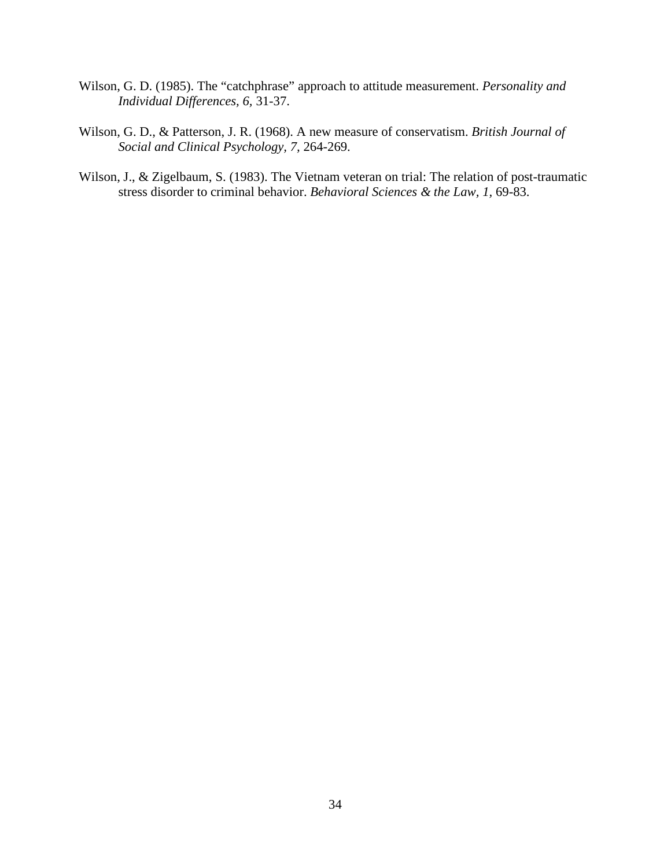- Wilson, G. D. (1985). The "catchphrase" approach to attitude measurement. *Personality and Individual Differences, 6,* 31-37.
- Wilson, G. D., & Patterson, J. R. (1968). A new measure of conservatism. *British Journal of Social and Clinical Psychology, 7,* 264-269.
- Wilson, J., & Zigelbaum, S. (1983). The Vietnam veteran on trial: The relation of post-traumatic stress disorder to criminal behavior. *Behavioral Sciences & the Law, 1,* 69-83.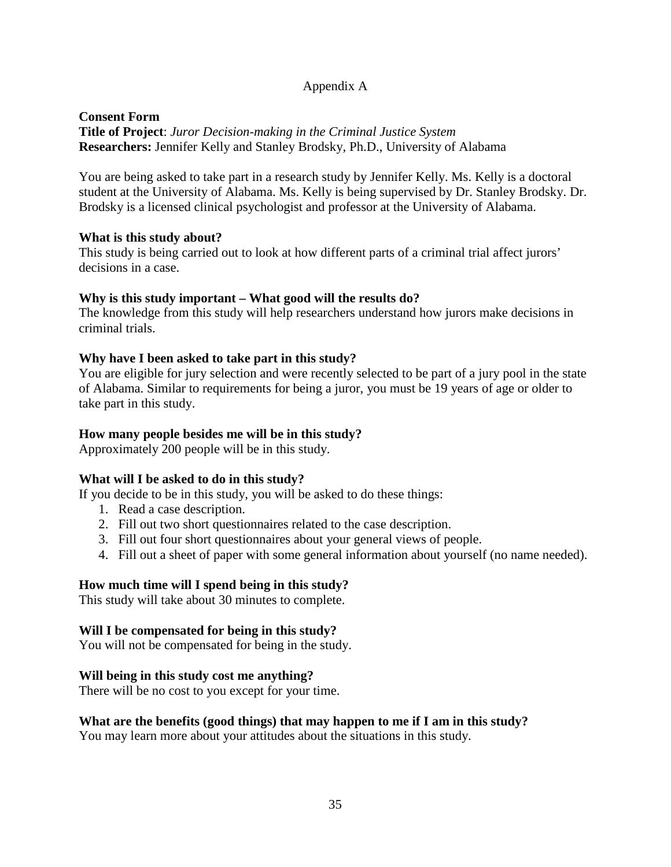## Appendix A

### **Consent Form Title of Project**: *Juror Decision-making in the Criminal Justice System* **Researchers:** Jennifer Kelly and Stanley Brodsky, Ph.D., University of Alabama

You are being asked to take part in a research study by Jennifer Kelly. Ms. Kelly is a doctoral student at the University of Alabama. Ms. Kelly is being supervised by Dr. Stanley Brodsky. Dr. Brodsky is a licensed clinical psychologist and professor at the University of Alabama.

### **What is this study about?**

This study is being carried out to look at how different parts of a criminal trial affect jurors' decisions in a case.

### **Why is this study important – What good will the results do?**

The knowledge from this study will help researchers understand how jurors make decisions in criminal trials.

### **Why have I been asked to take part in this study?**

You are eligible for jury selection and were recently selected to be part of a jury pool in the state of Alabama. Similar to requirements for being a juror, you must be 19 years of age or older to take part in this study.

### **How many people besides me will be in this study?**

Approximately 200 people will be in this study.

### **What will I be asked to do in this study?**

If you decide to be in this study, you will be asked to do these things:

- 1. Read a case description.
- 2. Fill out two short questionnaires related to the case description.
- 3. Fill out four short questionnaires about your general views of people.
- 4. Fill out a sheet of paper with some general information about yourself (no name needed).

### **How much time will I spend being in this study?**

This study will take about 30 minutes to complete.

#### **Will I be compensated for being in this study?**

You will not be compensated for being in the study.

#### **Will being in this study cost me anything?**

There will be no cost to you except for your time.

### **What are the benefits (good things) that may happen to me if I am in this study?**

You may learn more about your attitudes about the situations in this study.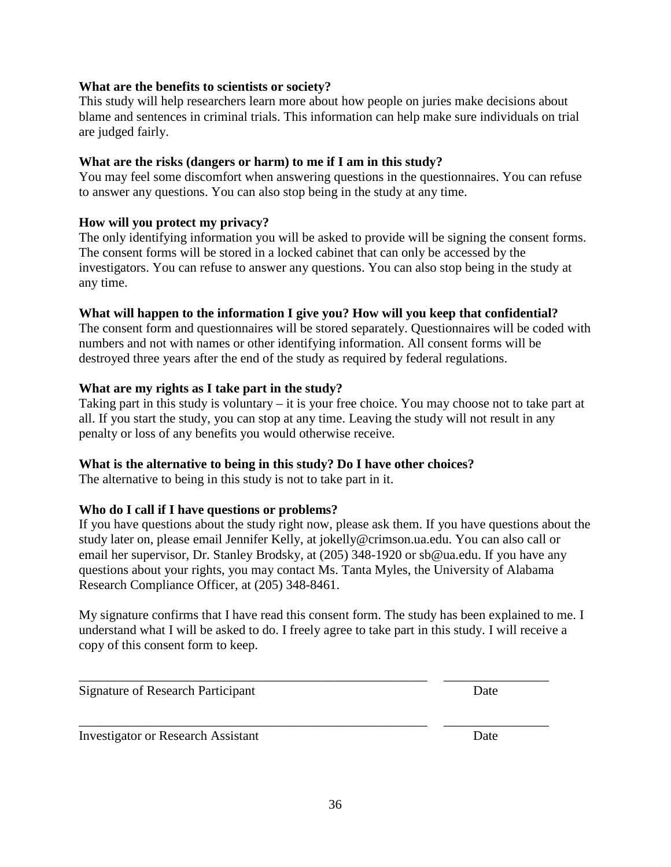36

## **What are the benefits to scientists or society?**

This study will help researchers learn more about how people on juries make decisions about blame and sentences in criminal trials. This information can help make sure individuals on trial are judged fairly.

## **What are the risks (dangers or harm) to me if I am in this study?**

You may feel some discomfort when answering questions in the questionnaires. You can refuse to answer any questions. You can also stop being in the study at any time.

## **How will you protect my privacy?**

The only identifying information you will be asked to provide will be signing the consent forms. The consent forms will be stored in a locked cabinet that can only be accessed by the investigators. You can refuse to answer any questions. You can also stop being in the study at any time.

## **What will happen to the information I give you? How will you keep that confidential?**

The consent form and questionnaires will be stored separately. Questionnaires will be coded with numbers and not with names or other identifying information. All consent forms will be destroyed three years after the end of the study as required by federal regulations.

## **What are my rights as I take part in the study?**

Taking part in this study is voluntary – it is your free choice. You may choose not to take part at all. If you start the study, you can stop at any time. Leaving the study will not result in any penalty or loss of any benefits you would otherwise receive.

## **What is the alternative to being in this study? Do I have other choices?**

The alternative to being in this study is not to take part in it.

## **Who do I call if I have questions or problems?**

If you have questions about the study right now, please ask them. If you have questions about the study later on, please email Jennifer Kelly, at jokelly@crimson.ua.edu. You can also call or email her supervisor, Dr. Stanley Brodsky, at (205) 348-1920 or sb@ua.edu. If you have any questions about your rights, you may contact Ms. Tanta Myles, the University of Alabama Research Compliance Officer, at (205) 348-8461.

My signature confirms that I have read this consent form. The study has been explained to me. I understand what I will be asked to do. I freely agree to take part in this study. I will receive a copy of this consent form to keep.

\_\_\_\_\_\_\_\_\_\_\_\_\_\_\_\_\_\_\_\_\_\_\_\_\_\_\_\_\_\_\_\_\_\_\_\_\_\_\_\_\_\_\_\_\_\_\_\_\_\_\_\_\_ \_\_\_\_\_\_\_\_\_\_\_\_\_\_\_\_

\_\_\_\_\_\_\_\_\_\_\_\_\_\_\_\_\_\_\_\_\_\_\_\_\_\_\_\_\_\_\_\_\_\_\_\_\_\_\_\_\_\_\_\_\_\_\_\_\_\_\_\_\_ \_\_\_\_\_\_\_\_\_\_\_\_\_\_\_\_

Signature of Research Participant Date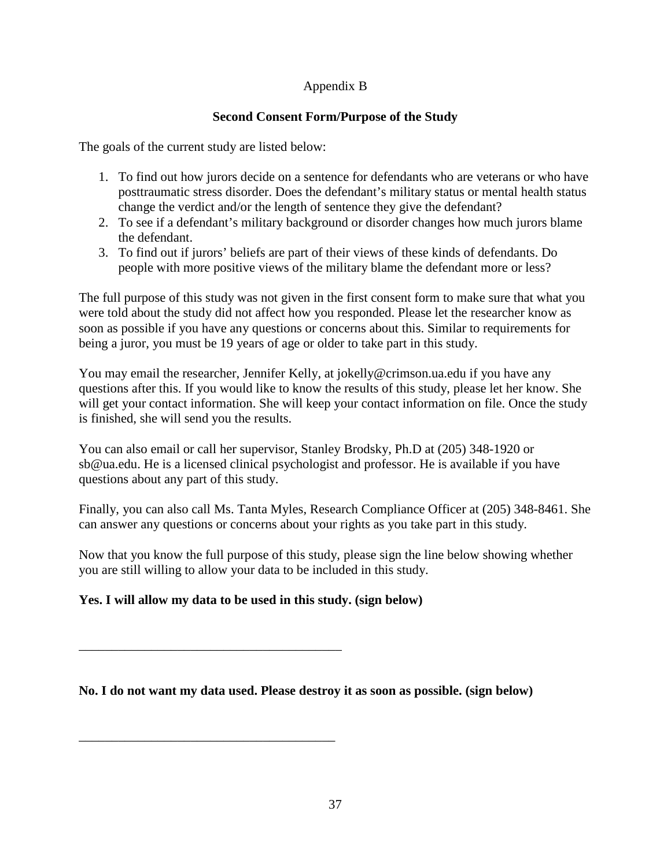## Appendix B

## **Second Consent Form/Purpose of the Study**

The goals of the current study are listed below:

- 1. To find out how jurors decide on a sentence for defendants who are veterans or who have posttraumatic stress disorder. Does the defendant's military status or mental health status change the verdict and/or the length of sentence they give the defendant?
- 2. To see if a defendant's military background or disorder changes how much jurors blame the defendant.
- 3. To find out if jurors' beliefs are part of their views of these kinds of defendants. Do people with more positive views of the military blame the defendant more or less?

The full purpose of this study was not given in the first consent form to make sure that what you were told about the study did not affect how you responded. Please let the researcher know as soon as possible if you have any questions or concerns about this. Similar to requirements for being a juror, you must be 19 years of age or older to take part in this study.

You may email the researcher, Jennifer Kelly, at jokelly@crimson.ua.edu if you have any questions after this. If you would like to know the results of this study, please let her know. She will get your contact information. She will keep your contact information on file. Once the study is finished, she will send you the results.

You can also email or call her supervisor, Stanley Brodsky, Ph.D at (205) 348-1920 or sb@ua.edu. He is a licensed clinical psychologist and professor. He is available if you have questions about any part of this study.

Finally, you can also call Ms. Tanta Myles, Research Compliance Officer at (205) 348-8461. She can answer any questions or concerns about your rights as you take part in this study.

Now that you know the full purpose of this study, please sign the line below showing whether you are still willing to allow your data to be included in this study.

## **Yes. I will allow my data to be used in this study. (sign below)**

\_\_\_\_\_\_\_\_\_\_\_\_\_\_\_\_\_\_\_\_\_\_\_\_\_\_\_\_\_\_\_\_\_\_\_\_\_\_\_\_

\_\_\_\_\_\_\_\_\_\_\_\_\_\_\_\_\_\_\_\_\_\_\_\_\_\_\_\_\_\_\_\_\_\_\_\_\_\_\_

**No. I do not want my data used. Please destroy it as soon as possible. (sign below)**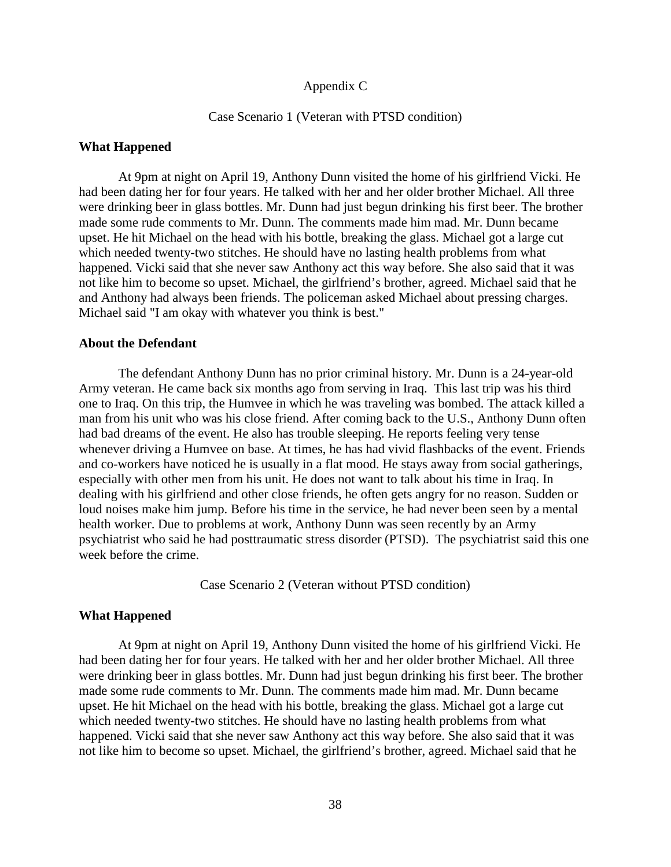#### Appendix C

#### Case Scenario 1 (Veteran with PTSD condition)

#### **What Happened**

At 9pm at night on April 19, Anthony Dunn visited the home of his girlfriend Vicki. He had been dating her for four years. He talked with her and her older brother Michael. All three were drinking beer in glass bottles. Mr. Dunn had just begun drinking his first beer. The brother made some rude comments to Mr. Dunn. The comments made him mad. Mr. Dunn became upset. He hit Michael on the head with his bottle, breaking the glass. Michael got a large cut which needed twenty-two stitches. He should have no lasting health problems from what happened. Vicki said that she never saw Anthony act this way before. She also said that it was not like him to become so upset. Michael, the girlfriend's brother, agreed. Michael said that he and Anthony had always been friends. The policeman asked Michael about pressing charges. Michael said "I am okay with whatever you think is best."

#### **About the Defendant**

The defendant Anthony Dunn has no prior criminal history. Mr. Dunn is a 24-year-old Army veteran. He came back six months ago from serving in Iraq. This last trip was his third one to Iraq. On this trip, the Humvee in which he was traveling was bombed. The attack killed a man from his unit who was his close friend. After coming back to the U.S., Anthony Dunn often had bad dreams of the event. He also has trouble sleeping. He reports feeling very tense whenever driving a Humvee on base. At times, he has had vivid flashbacks of the event. Friends and co-workers have noticed he is usually in a flat mood. He stays away from social gatherings, especially with other men from his unit. He does not want to talk about his time in Iraq. In dealing with his girlfriend and other close friends, he often gets angry for no reason. Sudden or loud noises make him jump. Before his time in the service, he had never been seen by a mental health worker. Due to problems at work, Anthony Dunn was seen recently by an Army psychiatrist who said he had posttraumatic stress disorder (PTSD). The psychiatrist said this one week before the crime.

Case Scenario 2 (Veteran without PTSD condition)

#### **What Happened**

At 9pm at night on April 19, Anthony Dunn visited the home of his girlfriend Vicki. He had been dating her for four years. He talked with her and her older brother Michael. All three were drinking beer in glass bottles. Mr. Dunn had just begun drinking his first beer. The brother made some rude comments to Mr. Dunn. The comments made him mad. Mr. Dunn became upset. He hit Michael on the head with his bottle, breaking the glass. Michael got a large cut which needed twenty-two stitches. He should have no lasting health problems from what happened. Vicki said that she never saw Anthony act this way before. She also said that it was not like him to become so upset. Michael, the girlfriend's brother, agreed. Michael said that he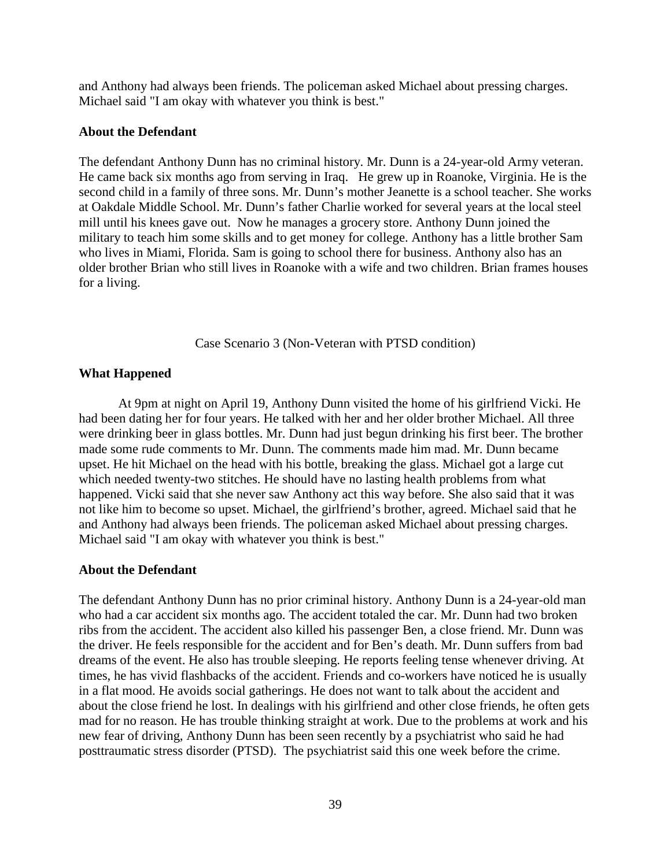and Anthony had always been friends. The policeman asked Michael about pressing charges. Michael said "I am okay with whatever you think is best."

### **About the Defendant**

The defendant Anthony Dunn has no criminal history. Mr. Dunn is a 24-year-old Army veteran. He came back six months ago from serving in Iraq. He grew up in Roanoke, Virginia. He is the second child in a family of three sons. Mr. Dunn's mother Jeanette is a school teacher. She works at Oakdale Middle School. Mr. Dunn's father Charlie worked for several years at the local steel mill until his knees gave out. Now he manages a grocery store. Anthony Dunn joined the military to teach him some skills and to get money for college. Anthony has a little brother Sam who lives in Miami, Florida. Sam is going to school there for business. Anthony also has an older brother Brian who still lives in Roanoke with a wife and two children. Brian frames houses for a living.

Case Scenario 3 (Non-Veteran with PTSD condition)

### **What Happened**

At 9pm at night on April 19, Anthony Dunn visited the home of his girlfriend Vicki. He had been dating her for four years. He talked with her and her older brother Michael. All three were drinking beer in glass bottles. Mr. Dunn had just begun drinking his first beer. The brother made some rude comments to Mr. Dunn. The comments made him mad. Mr. Dunn became upset. He hit Michael on the head with his bottle, breaking the glass. Michael got a large cut which needed twenty-two stitches. He should have no lasting health problems from what happened. Vicki said that she never saw Anthony act this way before. She also said that it was not like him to become so upset. Michael, the girlfriend's brother, agreed. Michael said that he and Anthony had always been friends. The policeman asked Michael about pressing charges. Michael said "I am okay with whatever you think is best."

### **About the Defendant**

The defendant Anthony Dunn has no prior criminal history. Anthony Dunn is a 24-year-old man who had a car accident six months ago. The accident totaled the car. Mr. Dunn had two broken ribs from the accident. The accident also killed his passenger Ben, a close friend. Mr. Dunn was the driver. He feels responsible for the accident and for Ben's death. Mr. Dunn suffers from bad dreams of the event. He also has trouble sleeping. He reports feeling tense whenever driving. At times, he has vivid flashbacks of the accident. Friends and co-workers have noticed he is usually in a flat mood. He avoids social gatherings. He does not want to talk about the accident and about the close friend he lost. In dealings with his girlfriend and other close friends, he often gets mad for no reason. He has trouble thinking straight at work. Due to the problems at work and his new fear of driving, Anthony Dunn has been seen recently by a psychiatrist who said he had posttraumatic stress disorder (PTSD). The psychiatrist said this one week before the crime.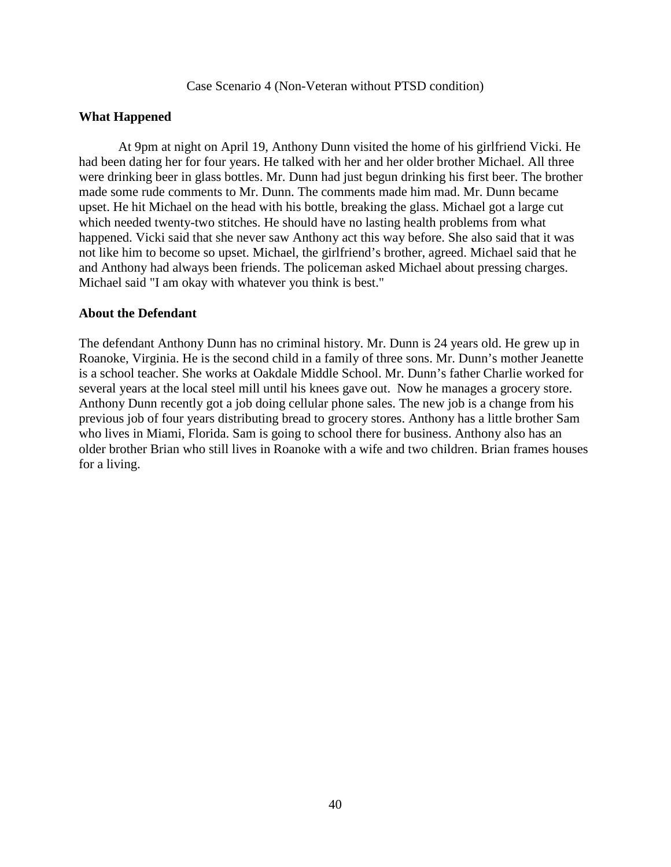Case Scenario 4 (Non-Veteran without PTSD condition)

### **What Happened**

At 9pm at night on April 19, Anthony Dunn visited the home of his girlfriend Vicki. He had been dating her for four years. He talked with her and her older brother Michael. All three were drinking beer in glass bottles. Mr. Dunn had just begun drinking his first beer. The brother made some rude comments to Mr. Dunn. The comments made him mad. Mr. Dunn became upset. He hit Michael on the head with his bottle, breaking the glass. Michael got a large cut which needed twenty-two stitches. He should have no lasting health problems from what happened. Vicki said that she never saw Anthony act this way before. She also said that it was not like him to become so upset. Michael, the girlfriend's brother, agreed. Michael said that he and Anthony had always been friends. The policeman asked Michael about pressing charges. Michael said "I am okay with whatever you think is best."

### **About the Defendant**

The defendant Anthony Dunn has no criminal history. Mr. Dunn is 24 years old. He grew up in Roanoke, Virginia. He is the second child in a family of three sons. Mr. Dunn's mother Jeanette is a school teacher. She works at Oakdale Middle School. Mr. Dunn's father Charlie worked for several years at the local steel mill until his knees gave out. Now he manages a grocery store. Anthony Dunn recently got a job doing cellular phone sales. The new job is a change from his previous job of four years distributing bread to grocery stores. Anthony has a little brother Sam who lives in Miami, Florida. Sam is going to school there for business. Anthony also has an older brother Brian who still lives in Roanoke with a wife and two children. Brian frames houses for a living.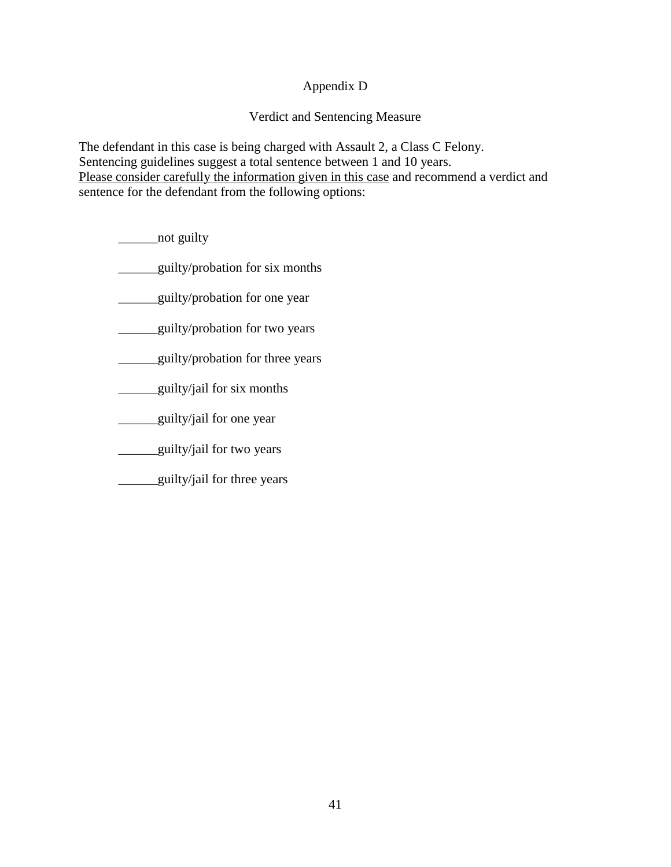## Appendix D

## Verdict and Sentencing Measure

The defendant in this case is being charged with Assault 2, a Class C Felony. Sentencing guidelines suggest a total sentence between 1 and 10 years. Please consider carefully the information given in this case and recommend a verdict and sentence for the defendant from the following options:

\_\_\_\_\_\_\_\_\_not guilty

\_\_\_\_\_\_guilty/probation for six months

<u>quilty/probation</u> for one year

\_\_\_\_\_\_guilty/probation for two years

**Example 1** guilty/probation for three years

\_\_\_\_\_\_guilty/jail for six months

\_\_\_\_\_\_guilty/jail for one year

**\_\_\_\_\_\_guilty/jail for two years** 

**Example 1** guilty/jail for three years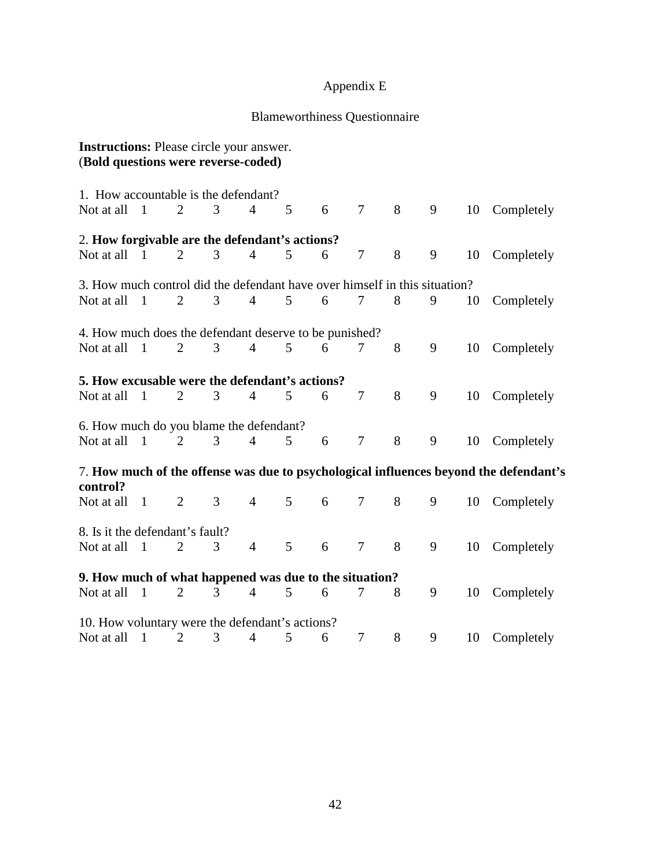# Appendix E

# Blameworthiness Questionnaire

| <b>Instructions:</b> Please circle your answer.<br>(Bold questions were reverse-coded) |                |                |   |                |   |   |                |   |   |    |                                                                                       |
|----------------------------------------------------------------------------------------|----------------|----------------|---|----------------|---|---|----------------|---|---|----|---------------------------------------------------------------------------------------|
| 1. How accountable is the defendant?                                                   |                |                |   |                |   |   |                |   |   |    |                                                                                       |
| Not at all                                                                             | $\overline{1}$ | $\overline{2}$ | 3 | $\overline{4}$ | 5 | 6 | $\tau$         | 8 | 9 | 10 | Completely                                                                            |
| 2. How forgivable are the defendant's actions?                                         |                |                |   |                |   |   |                |   |   |    |                                                                                       |
| Not at all                                                                             | $\overline{1}$ | 2              | 3 | $\overline{4}$ | 5 | 6 | $\overline{7}$ | 8 | 9 | 10 | Completely                                                                            |
| 3. How much control did the defendant have over himself in this situation?             |                |                |   |                |   |   |                |   |   |    |                                                                                       |
| Not at all                                                                             | $\overline{1}$ | $\overline{2}$ | 3 | $\overline{4}$ | 5 | 6 | 7              | 8 | 9 | 10 | Completely                                                                            |
| 4. How much does the defendant deserve to be punished?                                 |                |                |   |                |   |   |                |   |   |    |                                                                                       |
| Not at all                                                                             | $\overline{1}$ | 2              | 3 | $\overline{4}$ | 5 | 6 | 7              | 8 | 9 | 10 | Completely                                                                            |
| 5. How excusable were the defendant's actions?<br>Not at all                           | $\mathbf{1}$   | $\overline{2}$ | 3 | $\overline{4}$ | 5 | 6 | $\overline{7}$ | 8 | 9 | 10 | Completely                                                                            |
| 6. How much do you blame the defendant?                                                |                |                |   |                |   |   |                |   |   |    |                                                                                       |
| Not at all                                                                             | $\overline{1}$ | 2              | 3 | $\overline{4}$ | 5 | 6 | $\overline{7}$ | 8 | 9 | 10 | Completely                                                                            |
| control?                                                                               |                |                |   |                |   |   |                |   |   |    | 7. How much of the offense was due to psychological influences beyond the defendant's |
| Not at all                                                                             | $\overline{1}$ | $\overline{2}$ | 3 | $\overline{4}$ | 5 | 6 | $\tau$         | 8 | 9 | 10 | Completely                                                                            |
| 8. Is it the defendant's fault?                                                        |                |                |   |                |   |   |                |   |   |    |                                                                                       |
| Not at all                                                                             | $\overline{1}$ | $\overline{2}$ | 3 | $\overline{4}$ | 5 | 6 | $\overline{7}$ | 8 | 9 | 10 | Completely                                                                            |
| 9. How much of what happened was due to the situation?                                 |                |                |   |                |   |   |                |   |   |    |                                                                                       |
| Not at all                                                                             | $\overline{1}$ | $\overline{2}$ | 3 | $\overline{4}$ | 5 | 6 | 7              | 8 | 9 | 10 | Completely                                                                            |
| 10. How voluntary were the defendant's actions?                                        |                |                |   |                |   |   |                |   |   |    |                                                                                       |
| Not at all                                                                             | $\overline{1}$ | $\overline{2}$ | 3 | 4              | 5 | 6 | 7              | 8 | 9 | 10 | Completely                                                                            |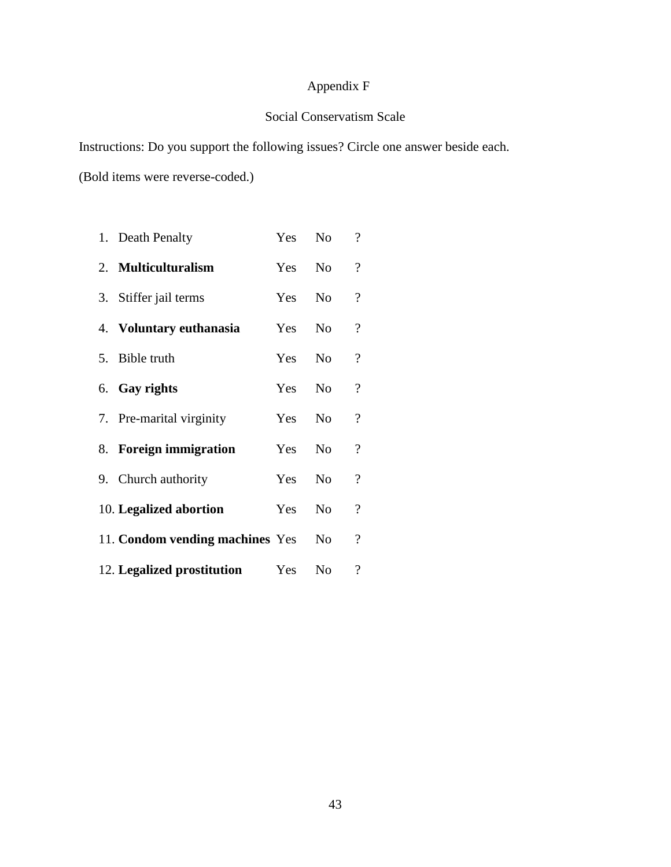## Appendix F

## Social Conservatism Scale

Instructions: Do you support the following issues? Circle one answer beside each.

(Bold items were reverse-coded.)

| 1. Death Penalty                | Yes    | N <sub>o</sub> | $\overline{\mathcal{L}}$ |
|---------------------------------|--------|----------------|--------------------------|
| 2. Multiculturalism             | Yes No |                | $\overline{\mathcal{L}}$ |
| 3. Stiffer jail terms           | Yes    | No.            | $\overline{\mathcal{L}}$ |
| 4. Voluntary euthanasia         | Yes    | N <sub>o</sub> | $\overline{\mathcal{L}}$ |
| 5. Bible truth                  | Yes No |                | $\overline{\mathcal{L}}$ |
| 6. Gay rights                   | Yes    | N <sub>0</sub> | $\overline{\mathcal{L}}$ |
| 7. Pre-marital virginity        | Yes    | N <sub>o</sub> | $\overline{\mathcal{L}}$ |
| 8. Foreign immigration          | Yes    | N <sub>0</sub> | $\overline{\mathcal{C}}$ |
| 9. Church authority             | Yes    | No.            | $\overline{\mathcal{L}}$ |
| 10. Legalized abortion          | Yes    | N <sub>o</sub> | $\boldsymbol{?}$         |
| 11. Condom vending machines Yes |        | No.            | $\overline{\mathcal{L}}$ |
| 12. Legalized prostitution      | Yes    | N <sub>o</sub> | $\overline{\mathcal{L}}$ |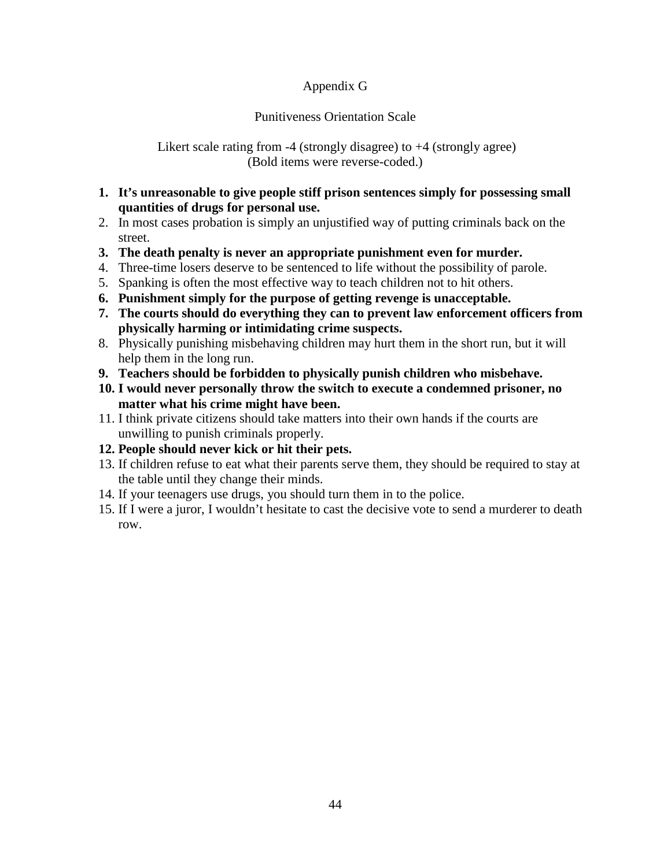## Appendix G

## Punitiveness Orientation Scale

 Likert scale rating from -4 (strongly disagree) to +4 (strongly agree) (Bold items were reverse-coded.)

- **1. It's unreasonable to give people stiff prison sentences simply for possessing small quantities of drugs for personal use.**
- 2. In most cases probation is simply an unjustified way of putting criminals back on the street.
- **3. The death penalty is never an appropriate punishment even for murder.**
- 4. Three-time losers deserve to be sentenced to life without the possibility of parole.
- 5. Spanking is often the most effective way to teach children not to hit others.
- **6. Punishment simply for the purpose of getting revenge is unacceptable.**
- **7. The courts should do everything they can to prevent law enforcement officers from physically harming or intimidating crime suspects.**
- 8. Physically punishing misbehaving children may hurt them in the short run, but it will help them in the long run.
- **9. Teachers should be forbidden to physically punish children who misbehave.**
- **10. I would never personally throw the switch to execute a condemned prisoner, no matter what his crime might have been.**
- 11. I think private citizens should take matters into their own hands if the courts are unwilling to punish criminals properly.
- **12. People should never kick or hit their pets.**
- 13. If children refuse to eat what their parents serve them, they should be required to stay at the table until they change their minds.
- 14. If your teenagers use drugs, you should turn them in to the police.
- 15. If I were a juror, I wouldn't hesitate to cast the decisive vote to send a murderer to death row.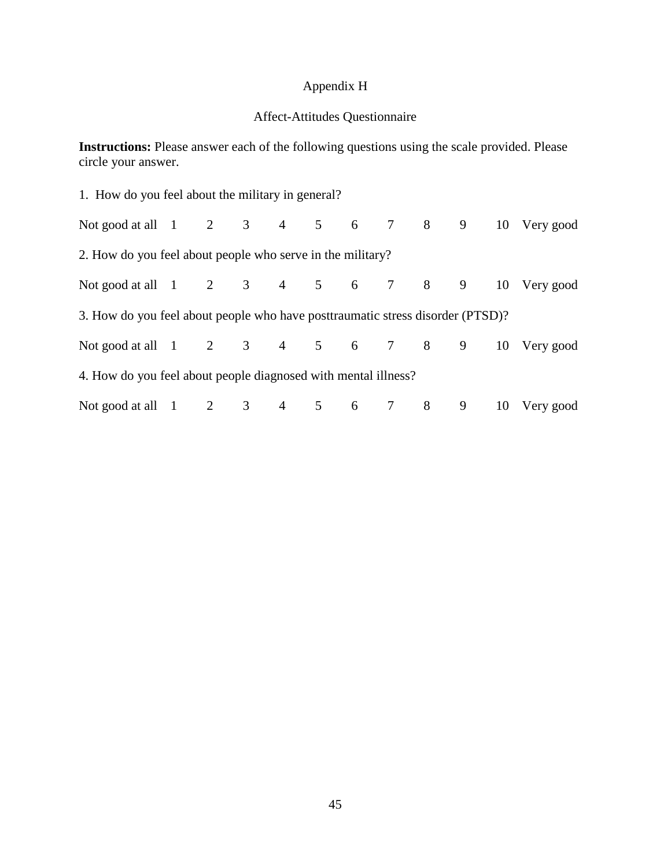## Appendix H

## Affect-Attitudes Questionnaire

**Instructions:** Please answer each of the following questions using the scale provided. Please circle your answer.

| 1. How do you feel about the military in general?                              |  |  |  |  |  |  |  |  |  |  |  |
|--------------------------------------------------------------------------------|--|--|--|--|--|--|--|--|--|--|--|
| Not good at all 1 2 3 4 5 6 7 8 9 10 Very good                                 |  |  |  |  |  |  |  |  |  |  |  |
| 2. How do you feel about people who serve in the military?                     |  |  |  |  |  |  |  |  |  |  |  |
| Not good at all 1 2 3 4 5 6 7 8 9 10 Very good                                 |  |  |  |  |  |  |  |  |  |  |  |
| 3. How do you feel about people who have posttraumatic stress disorder (PTSD)? |  |  |  |  |  |  |  |  |  |  |  |
| Not good at all 1 2 3 4 5 6 7 8 9 10 Very good                                 |  |  |  |  |  |  |  |  |  |  |  |
| 4. How do you feel about people diagnosed with mental illness?                 |  |  |  |  |  |  |  |  |  |  |  |
| Not good at all 1 2 3 4 5 6 7 8 9 10 Very good                                 |  |  |  |  |  |  |  |  |  |  |  |